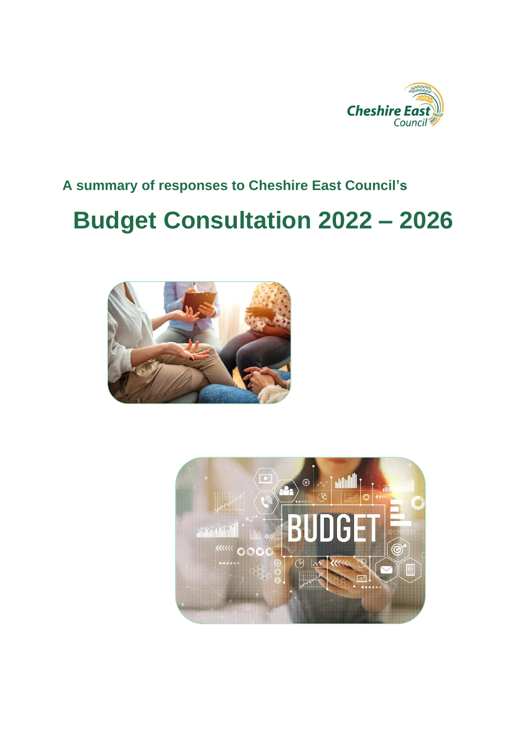

## **A summary of responses to Cheshire East Council's**

# **Budget Consultation 2022 – 2026**



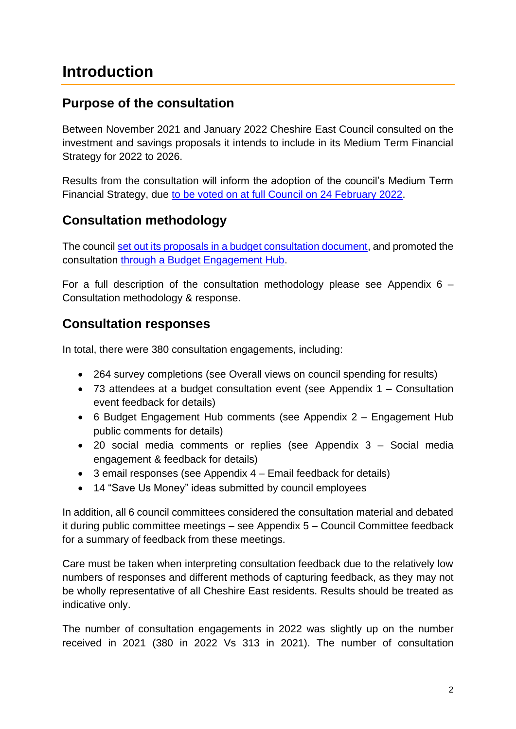## <span id="page-1-0"></span>**Introduction**

## **Purpose of the consultation**

Between November 2021 and January 2022 Cheshire East Council consulted on the investment and savings proposals it intends to include in its Medium Term Financial Strategy for 2022 to 2026.

Results from the consultation will inform the adoption of the council's Medium Term Financial Strategy, due [to be voted on at full Council on 24](http://moderngov.cheshireeast.gov.uk/ecminutes/ieListDocuments.aspx?CId=239&MId=8656) February 2022.

## **Consultation methodology**

The council [set out its proposals in a budget consultation document,](https://www.cheshireeast.gov.uk/pdf/council-and-democracy/cec-budget-21-25/budget-engagement-2022-2026.pdf) and promoted the consultation through a [Budget Engagement Hub.](https://www.cheshireeast.gov.uk/council_and_democracy/council_information/consultations/budget-engagement.aspx)

For a full description of the consultation methodology please see Appendix  $6 -$ [Consultation methodology & response.](#page-52-0)

## **Consultation responses**

In total, there were 380 consultation engagements, including:

- 264 survey completions (see [Overall views on council spending](#page-8-0) for results)
- 73 attendees at a budget consultation event (see [Appendix 1 –](#page-27-0) Consultation event [feedback](#page-27-0) for details)
- 6 Budget Engagement Hub comments (see Appendix 2 [Engagement Hub](#page-32-0)  [public comments](#page-32-0) for details)
- 20 social media comments or replies (see Appendix 3 [Social media](#page-34-0) [engagement & feedback](#page-34-0) for details)
- 3 email responses (see Appendix 4 [Email feedback](#page-38-0) for details)
- 14 "Save Us Money" ideas submitted by council employees

In addition, all 6 council committees considered the consultation material and debated it during public committee meetings – see Appendix 5 – [Council Committee feedback](#page-40-0) for a summary of feedback from these meetings.

Care must be taken when interpreting consultation feedback due to the relatively low numbers of responses and different methods of capturing feedback, as they may not be wholly representative of all Cheshire East residents. Results should be treated as indicative only.

The number of consultation engagements in 2022 was slightly up on the number received in 2021 (380 in 2022 Vs 313 in 2021). The number of consultation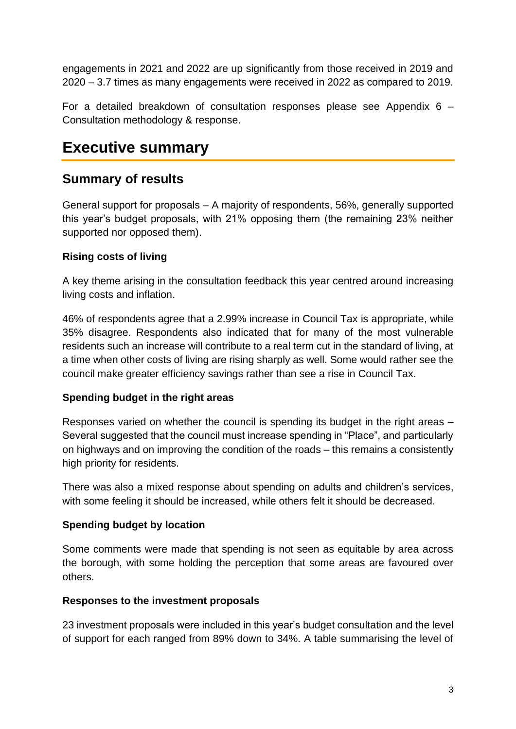engagements in 2021 and 2022 are up significantly from those received in 2019 and 2020 – 3.7 times as many engagements were received in 2022 as compared to 2019.

For a detailed breakdown of consultation responses please see [Appendix 6](#page-52-0) – [Consultation methodology & response.](#page-52-0)

## <span id="page-2-0"></span>**Executive summary**

## **Summary of results**

General support for proposals – A majority of respondents, 56%, generally supported this year's budget proposals, with 21% opposing them (the remaining 23% neither supported nor opposed them).

### **Rising costs of living**

A key theme arising in the consultation feedback this year centred around increasing living costs and inflation.

46% of respondents agree that a 2.99% increase in Council Tax is appropriate, while 35% disagree. Respondents also indicated that for many of the most vulnerable residents such an increase will contribute to a real term cut in the standard of living, at a time when other costs of living are rising sharply as well. Some would rather see the council make greater efficiency savings rather than see a rise in Council Tax.

### **Spending budget in the right areas**

Responses varied on whether the council is spending its budget in the right areas – Several suggested that the council must increase spending in "Place", and particularly on highways and on improving the condition of the roads – this remains a consistently high priority for residents.

There was also a mixed response about spending on adults and children's services, with some feeling it should be increased, while others felt it should be decreased.

### **Spending budget by location**

Some comments were made that spending is not seen as equitable by area across the borough, with some holding the perception that some areas are favoured over others.

### **Responses to the investment proposals**

23 investment proposals were included in this year's budget consultation and the level of support for each ranged from 89% down to 34%. A table summarising the level of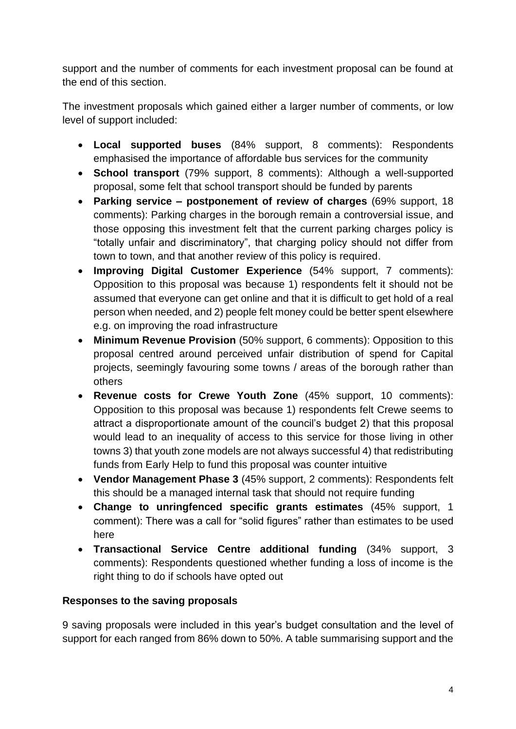support and the number of comments for each investment proposal can be found at the end of this section.

The investment proposals which gained either a larger number of comments, or low level of support included:

- **Local supported buses** (84% support, 8 comments): Respondents emphasised the importance of affordable bus services for the community
- **School transport** (79% support, 8 comments): Although a well-supported proposal, some felt that school transport should be funded by parents
- **Parking service – postponement of review of charges** (69% support, 18 comments): Parking charges in the borough remain a controversial issue, and those opposing this investment felt that the current parking charges policy is "totally unfair and discriminatory", that charging policy should not differ from town to town, and that another review of this policy is required.
- **Improving Digital Customer Experience** (54% support, 7 comments): Opposition to this proposal was because 1) respondents felt it should not be assumed that everyone can get online and that it is difficult to get hold of a real person when needed, and 2) people felt money could be better spent elsewhere e.g. on improving the road infrastructure
- **Minimum Revenue Provision** (50% support, 6 comments): Opposition to this proposal centred around perceived unfair distribution of spend for Capital projects, seemingly favouring some towns / areas of the borough rather than others
- **Revenue costs for Crewe Youth Zone** (45% support, 10 comments): Opposition to this proposal was because 1) respondents felt Crewe seems to attract a disproportionate amount of the council's budget 2) that this proposal would lead to an inequality of access to this service for those living in other towns 3) that youth zone models are not always successful 4) that redistributing funds from Early Help to fund this proposal was counter intuitive
- **Vendor Management Phase 3** (45% support, 2 comments): Respondents felt this should be a managed internal task that should not require funding
- **Change to unringfenced specific grants estimates** (45% support, 1 comment): There was a call for "solid figures" rather than estimates to be used here
- **Transactional Service Centre additional funding** (34% support, 3 comments): Respondents questioned whether funding a loss of income is the right thing to do if schools have opted out

### **Responses to the saving proposals**

9 saving proposals were included in this year's budget consultation and the level of support for each ranged from 86% down to 50%. A table summarising support and the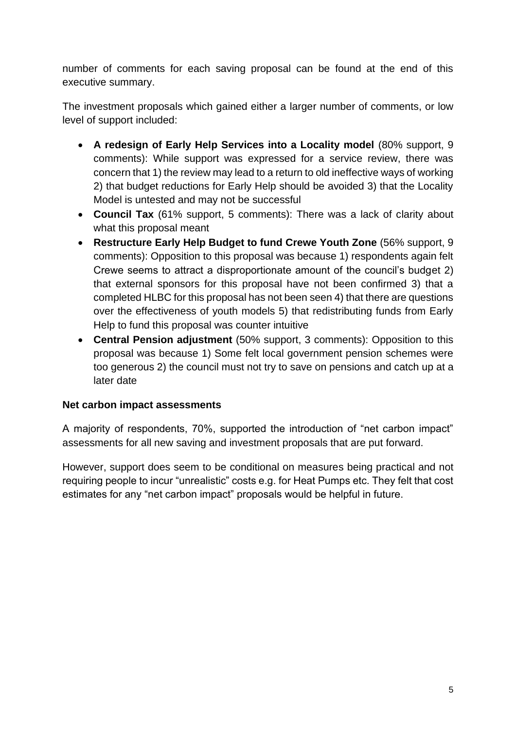number of comments for each saving proposal can be found at the end of this executive summary.

The investment proposals which gained either a larger number of comments, or low level of support included:

- **A redesign of Early Help Services into a Locality model** (80% support, 9 comments): While support was expressed for a service review, there was concern that 1) the review may lead to a return to old ineffective ways of working 2) that budget reductions for Early Help should be avoided 3) that the Locality Model is untested and may not be successful
- **Council Tax** (61% support, 5 comments): There was a lack of clarity about what this proposal meant
- **Restructure Early Help Budget to fund Crewe Youth Zone** (56% support, 9 comments): Opposition to this proposal was because 1) respondents again felt Crewe seems to attract a disproportionate amount of the council's budget 2) that external sponsors for this proposal have not been confirmed 3) that a completed HLBC for this proposal has not been seen 4) that there are questions over the effectiveness of youth models 5) that redistributing funds from Early Help to fund this proposal was counter intuitive
- **Central Pension adjustment** (50% support, 3 comments): Opposition to this proposal was because 1) Some felt local government pension schemes were too generous 2) the council must not try to save on pensions and catch up at a later date

### **Net carbon impact assessments**

A majority of respondents, 70%, supported the introduction of "net carbon impact" assessments for all new saving and investment proposals that are put forward.

However, support does seem to be conditional on measures being practical and not requiring people to incur "unrealistic" costs e.g. for Heat Pumps etc. They felt that cost estimates for any "net carbon impact" proposals would be helpful in future.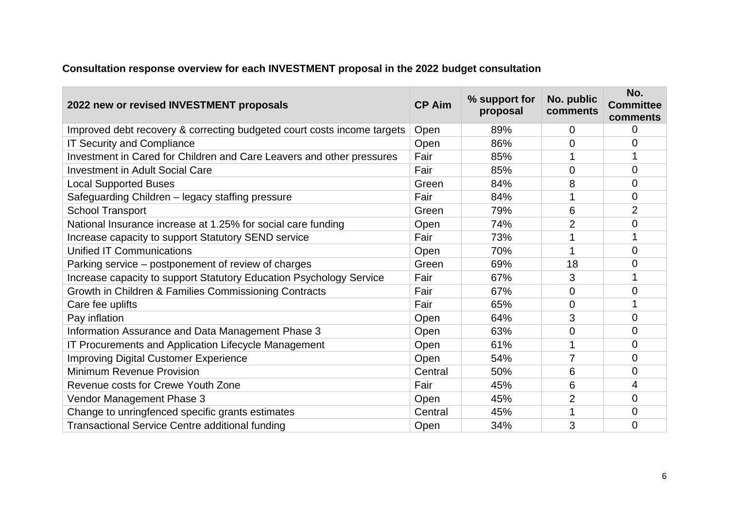## **Consultation response overview for each INVESTMENT proposal in the 2022 budget consultation**

| 2022 new or revised INVESTMENT proposals                                | <b>CP Aim</b> | % support for<br>proposal | No. public<br>comments | No.<br><b>Committee</b><br>comments |
|-------------------------------------------------------------------------|---------------|---------------------------|------------------------|-------------------------------------|
| Improved debt recovery & correcting budgeted court costs income targets | Open          | 89%                       | 0                      | 0                                   |
| <b>IT Security and Compliance</b>                                       | Open          | 86%                       | 0                      | 0                                   |
| Investment in Cared for Children and Care Leavers and other pressures   | Fair          | 85%                       |                        |                                     |
| <b>Investment in Adult Social Care</b>                                  | Fair          | 85%                       | 0                      | $\Omega$                            |
| <b>Local Supported Buses</b>                                            | Green         | 84%                       | 8                      | 0                                   |
| Safeguarding Children - legacy staffing pressure                        | Fair          | 84%                       |                        | 0                                   |
| <b>School Transport</b>                                                 | Green         | 79%                       | 6                      | $\overline{2}$                      |
| National Insurance increase at 1.25% for social care funding            | Open          | 74%                       | $\overline{2}$         | 0                                   |
| Increase capacity to support Statutory SEND service                     | Fair          | 73%                       |                        |                                     |
| <b>Unified IT Communications</b>                                        | Open          | 70%                       |                        | 0                                   |
| Parking service – postponement of review of charges                     | Green         | 69%                       | 18                     | 0                                   |
| Increase capacity to support Statutory Education Psychology Service     | Fair          | 67%                       | 3                      |                                     |
| Growth in Children & Families Commissioning Contracts                   | Fair          | 67%                       | 0                      | 0                                   |
| Care fee uplifts                                                        | Fair          | 65%                       | 0                      |                                     |
| Pay inflation                                                           | Open          | 64%                       | 3                      | 0                                   |
| Information Assurance and Data Management Phase 3                       | Open          | 63%                       | 0                      | 0                                   |
| IT Procurements and Application Lifecycle Management                    | Open          | 61%                       |                        | $\Omega$                            |
| <b>Improving Digital Customer Experience</b>                            | Open          | 54%                       | 7                      | 0                                   |
| Minimum Revenue Provision                                               | Central       | 50%                       | 6                      | 0                                   |
| Revenue costs for Crewe Youth Zone                                      | Fair          | 45%                       | 6                      | 4                                   |
| Vendor Management Phase 3                                               | Open          | 45%                       | $\overline{2}$         | 0                                   |
| Change to unringfenced specific grants estimates                        | Central       | 45%                       |                        | 0                                   |
| <b>Transactional Service Centre additional funding</b>                  | Open          | 34%                       | 3                      | 0                                   |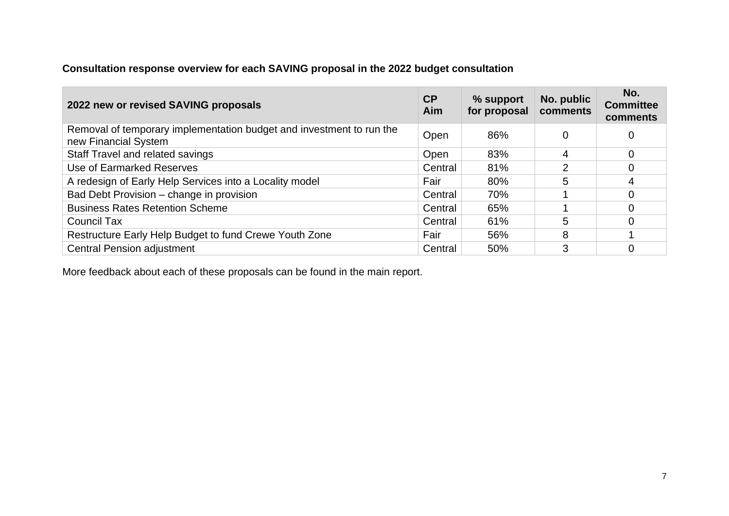## **Consultation response overview for each SAVING proposal in the 2022 budget consultation**

| 2022 new or revised SAVING proposals                                                         | CP<br>Aim | % support<br>for proposal | No. public<br>comments | No.<br><b>Committee</b><br>comments |
|----------------------------------------------------------------------------------------------|-----------|---------------------------|------------------------|-------------------------------------|
| Removal of temporary implementation budget and investment to run the<br>new Financial System | Open      | 86%                       |                        | 0                                   |
| Staff Travel and related savings                                                             | Open      | 83%                       | 4                      | $\Omega$                            |
| Use of Earmarked Reserves                                                                    | Central   | 81%                       | 2                      | 0                                   |
| A redesign of Early Help Services into a Locality model                                      | Fair      | 80%                       | 5                      | 4                                   |
| Bad Debt Provision – change in provision                                                     | Central   | 70%                       |                        | 0                                   |
| <b>Business Rates Retention Scheme</b>                                                       | Central   | 65%                       |                        | 0                                   |
| Council Tax                                                                                  | Central   | 61%                       | 5                      | 0                                   |
| Restructure Early Help Budget to fund Crewe Youth Zone                                       | Fair      | 56%                       | 8                      |                                     |
| <b>Central Pension adjustment</b>                                                            | Central   | 50%                       | 3                      | 0                                   |

More feedback about each of these proposals can be found in the main report.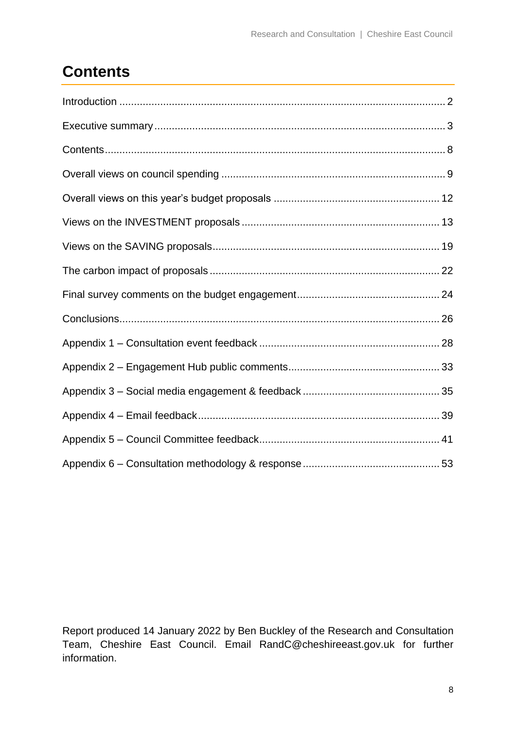## <span id="page-7-0"></span>**Contents**

Report produced 14 January 2022 by Ben Buckley of the Research and Consultation Team, Cheshire East Council. Email [RandC@cheshireeast.gov.uk](mailto:RandC@cheshireeast.gov.uk) for further information.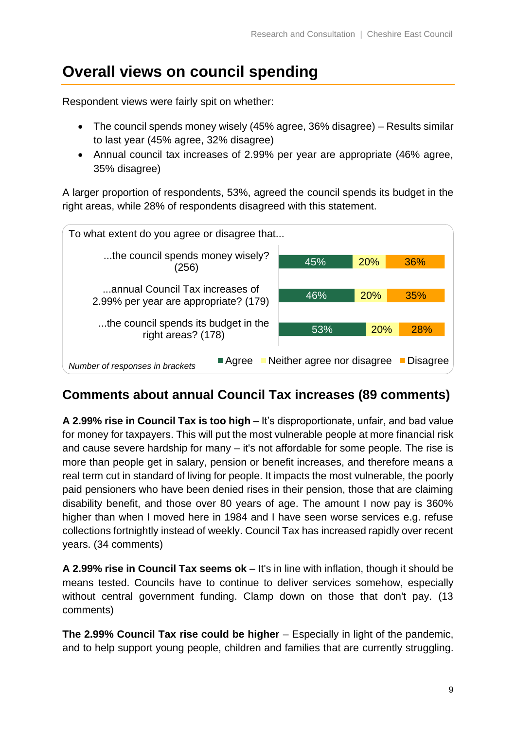## <span id="page-8-0"></span>**Overall views on council spending**

Respondent views were fairly spit on whether:

- The council spends money wisely (45% agree, 36% disagree) Results similar to last year (45% agree, 32% disagree)
- Annual council tax increases of 2.99% per year are appropriate (46% agree, 35% disagree)

A larger proportion of respondents, 53%, agreed the council spends its budget in the right areas, while 28% of respondents disagreed with this statement.



## **Comments about annual Council Tax increases (89 comments)**

**A 2.99% rise in Council Tax is too high** – It's disproportionate, unfair, and bad value for money for taxpayers. This will put the most vulnerable people at more financial risk and cause severe hardship for many – it's not affordable for some people. The rise is more than people get in salary, pension or benefit increases, and therefore means a real term cut in standard of living for people. It impacts the most vulnerable, the poorly paid pensioners who have been denied rises in their pension, those that are claiming disability benefit, and those over 80 years of age. The amount I now pay is 360% higher than when I moved here in 1984 and I have seen worse services e.g. refuse collections fortnightly instead of weekly. Council Tax has increased rapidly over recent years. (34 comments)

**A 2.99% rise in Council Tax seems ok** – It's in line with inflation, though it should be means tested. Councils have to continue to deliver services somehow, especially without central government funding. Clamp down on those that don't pay. (13 comments)

**The 2.99% Council Tax rise could be higher** – Especially in light of the pandemic, and to help support young people, children and families that are currently struggling.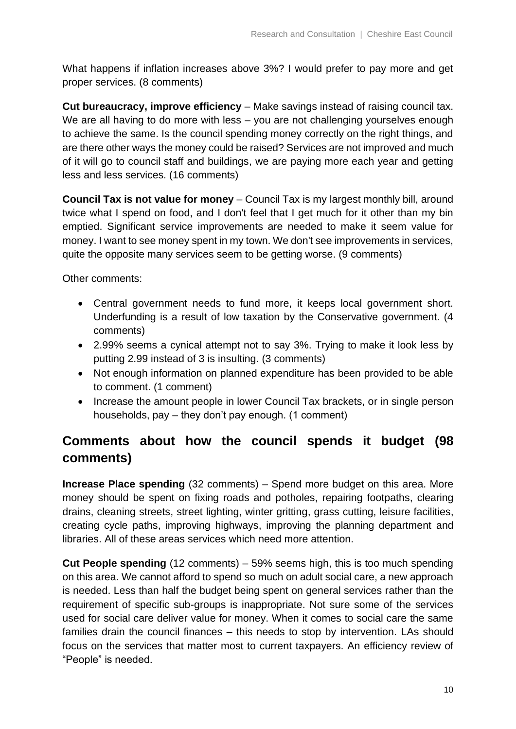What happens if inflation increases above 3%? I would prefer to pay more and get proper services. (8 comments)

**Cut bureaucracy, improve efficiency** – Make savings instead of raising council tax. We are all having to do more with less – you are not challenging yourselves enough to achieve the same. Is the council spending money correctly on the right things, and are there other ways the money could be raised? Services are not improved and much of it will go to council staff and buildings, we are paying more each year and getting less and less services. (16 comments)

**Council Tax is not value for money** – Council Tax is my largest monthly bill, around twice what I spend on food, and I don't feel that I get much for it other than my bin emptied. Significant service improvements are needed to make it seem value for money. I want to see money spent in my town. We don't see improvements in services, quite the opposite many services seem to be getting worse. (9 comments)

Other comments:

- Central government needs to fund more, it keeps local government short. Underfunding is a result of low taxation by the Conservative government. (4 comments)
- 2.99% seems a cynical attempt not to say 3%. Trying to make it look less by putting 2.99 instead of 3 is insulting. (3 comments)
- Not enough information on planned expenditure has been provided to be able to comment. (1 comment)
- Increase the amount people in lower Council Tax brackets, or in single person households, pay – they don't pay enough. (1 comment)

## **Comments about how the council spends it budget (98 comments)**

**Increase Place spending** (32 comments) – Spend more budget on this area. More money should be spent on fixing roads and potholes, repairing footpaths, clearing drains, cleaning streets, street lighting, winter gritting, grass cutting, leisure facilities, creating cycle paths, improving highways, improving the planning department and libraries. All of these areas services which need more attention.

**Cut People spending** (12 comments) – 59% seems high, this is too much spending on this area. We cannot afford to spend so much on adult social care, a new approach is needed. Less than half the budget being spent on general services rather than the requirement of specific sub-groups is inappropriate. Not sure some of the services used for social care deliver value for money. When it comes to social care the same families drain the council finances – this needs to stop by intervention. LAs should focus on the services that matter most to current taxpayers. An efficiency review of "People" is needed.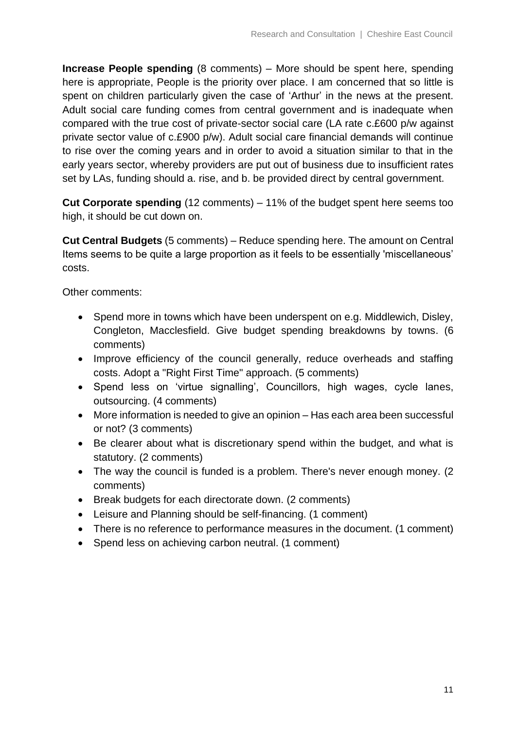**Increase People spending** (8 comments) – More should be spent here, spending here is appropriate, People is the priority over place. I am concerned that so little is spent on children particularly given the case of 'Arthur' in the news at the present. Adult social care funding comes from central government and is inadequate when compared with the true cost of private-sector social care (LA rate c.£600 p/w against private sector value of c.£900 p/w). Adult social care financial demands will continue to rise over the coming years and in order to avoid a situation similar to that in the early years sector, whereby providers are put out of business due to insufficient rates set by LAs, funding should a. rise, and b. be provided direct by central government.

**Cut Corporate spending** (12 comments) – 11% of the budget spent here seems too high, it should be cut down on.

**Cut Central Budgets** (5 comments) – Reduce spending here. The amount on Central Items seems to be quite a large proportion as it feels to be essentially 'miscellaneous' costs.

Other comments:

- Spend more in towns which have been underspent on e.g. Middlewich, Disley, Congleton, Macclesfield. Give budget spending breakdowns by towns. (6 comments)
- Improve efficiency of the council generally, reduce overheads and staffing costs. Adopt a "Right First Time" approach. (5 comments)
- Spend less on 'virtue signalling', Councillors, high wages, cycle lanes, outsourcing. (4 comments)
- More information is needed to give an opinion Has each area been successful or not? (3 comments)
- Be clearer about what is discretionary spend within the budget, and what is statutory. (2 comments)
- The way the council is funded is a problem. There's never enough money. (2 comments)
- Break budgets for each directorate down. (2 comments)
- Leisure and Planning should be self-financing. (1 comment)
- There is no reference to performance measures in the document. (1 comment)
- Spend less on achieving carbon neutral. (1 comment)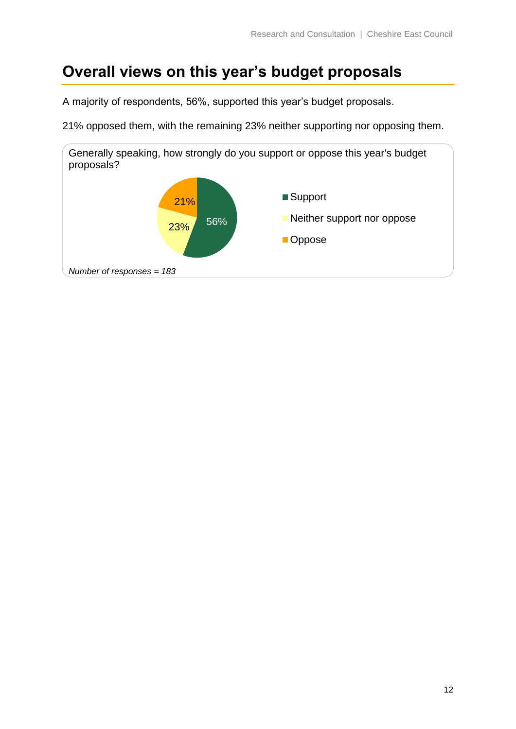## <span id="page-11-0"></span>**Overall views on this year's budget proposals**

A majority of respondents, 56%, supported this year's budget proposals.

21% opposed them, with the remaining 23% neither supporting nor opposing them.

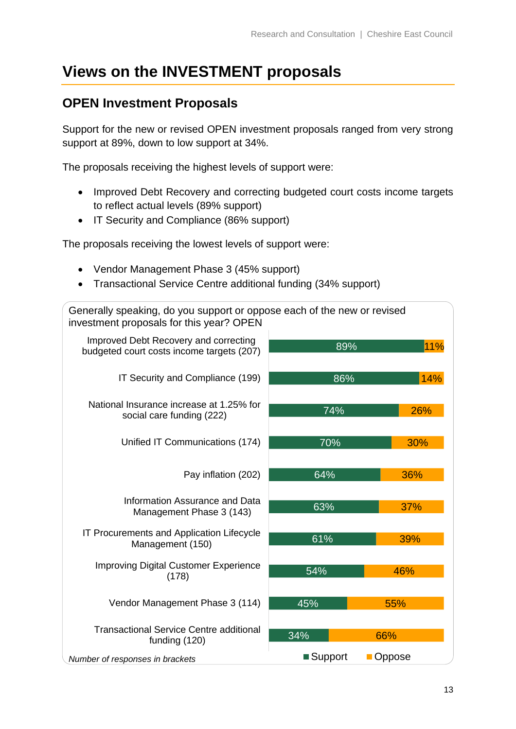## <span id="page-12-0"></span>**Views on the INVESTMENT proposals**

## **OPEN Investment Proposals**

Support for the new or revised OPEN investment proposals ranged from very strong support at 89%, down to low support at 34%.

The proposals receiving the highest levels of support were:

- Improved Debt Recovery and correcting budgeted court costs income targets to reflect actual levels (89% support)
- IT Security and Compliance (86% support)

The proposals receiving the lowest levels of support were:

- Vendor Management Phase 3 (45% support)
- Transactional Service Centre additional funding (34% support)

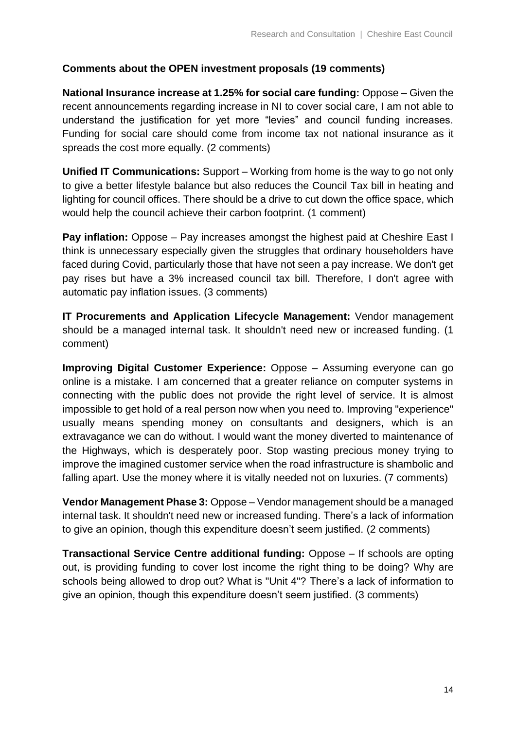#### **Comments about the OPEN investment proposals (19 comments)**

**National Insurance increase at 1.25% for social care funding:** Oppose – Given the recent announcements regarding increase in NI to cover social care, I am not able to understand the justification for yet more "levies" and council funding increases. Funding for social care should come from income tax not national insurance as it spreads the cost more equally. (2 comments)

**Unified IT Communications:** Support – Working from home is the way to go not only to give a better lifestyle balance but also reduces the Council Tax bill in heating and lighting for council offices. There should be a drive to cut down the office space, which would help the council achieve their carbon footprint. (1 comment)

**Pay inflation:** Oppose – Pay increases amongst the highest paid at Cheshire East I think is unnecessary especially given the struggles that ordinary householders have faced during Covid, particularly those that have not seen a pay increase. We don't get pay rises but have a 3% increased council tax bill. Therefore, I don't agree with automatic pay inflation issues. (3 comments)

**IT Procurements and Application Lifecycle Management:** Vendor management should be a managed internal task. It shouldn't need new or increased funding. (1 comment)

**Improving Digital Customer Experience:** Oppose – Assuming everyone can go online is a mistake. I am concerned that a greater reliance on computer systems in connecting with the public does not provide the right level of service. It is almost impossible to get hold of a real person now when you need to. Improving "experience" usually means spending money on consultants and designers, which is an extravagance we can do without. I would want the money diverted to maintenance of the Highways, which is desperately poor. Stop wasting precious money trying to improve the imagined customer service when the road infrastructure is shambolic and falling apart. Use the money where it is vitally needed not on luxuries. (7 comments)

**Vendor Management Phase 3:** Oppose – Vendor management should be a managed internal task. It shouldn't need new or increased funding. There's a lack of information to give an opinion, though this expenditure doesn't seem justified. (2 comments)

**Transactional Service Centre additional funding:** Oppose – If schools are opting out, is providing funding to cover lost income the right thing to be doing? Why are schools being allowed to drop out? What is "Unit 4"? There's a lack of information to give an opinion, though this expenditure doesn't seem justified. (3 comments)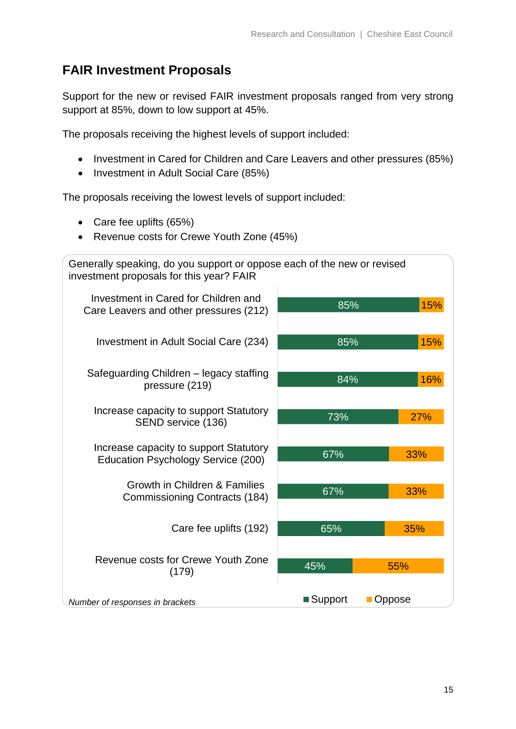## **FAIR Investment Proposals**

Support for the new or revised FAIR investment proposals ranged from very strong support at 85%, down to low support at 45%.

The proposals receiving the highest levels of support included:

- Investment in Cared for Children and Care Leavers and other pressures (85%)
- Investment in Adult Social Care (85%)

The proposals receiving the lowest levels of support included:

- Care fee uplifts (65%)
- Revenue costs for Crewe Youth Zone (45%)

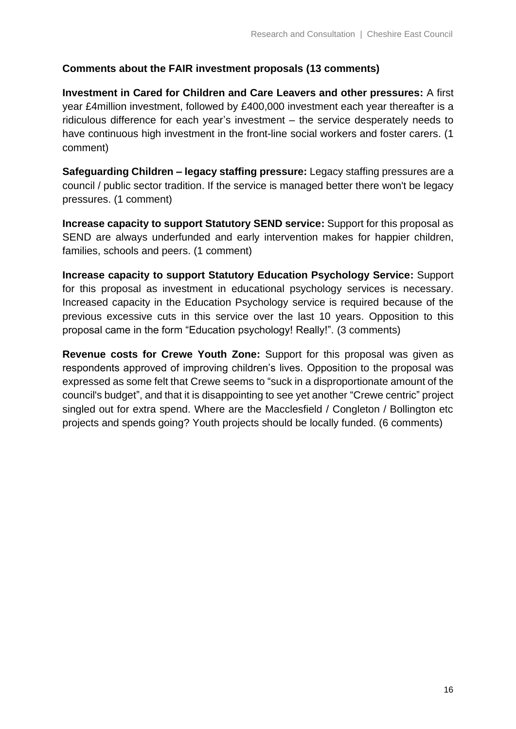#### **Comments about the FAIR investment proposals (13 comments)**

**Investment in Cared for Children and Care Leavers and other pressures:** A first year £4million investment, followed by £400,000 investment each year thereafter is a ridiculous difference for each year's investment – the service desperately needs to have continuous high investment in the front-line social workers and foster carers. (1 comment)

**Safeguarding Children – legacy staffing pressure:** Legacy staffing pressures are a council / public sector tradition. If the service is managed better there won't be legacy pressures. (1 comment)

**Increase capacity to support Statutory SEND service:** Support for this proposal as SEND are always underfunded and early intervention makes for happier children, families, schools and peers. (1 comment)

**Increase capacity to support Statutory Education Psychology Service:** Support for this proposal as investment in educational psychology services is necessary. Increased capacity in the Education Psychology service is required because of the previous excessive cuts in this service over the last 10 years. Opposition to this proposal came in the form "Education psychology! Really!". (3 comments)

**Revenue costs for Crewe Youth Zone:** Support for this proposal was given as respondents approved of improving children's lives. Opposition to the proposal was expressed as some felt that Crewe seems to "suck in a disproportionate amount of the council's budget", and that it is disappointing to see yet another "Crewe centric" project singled out for extra spend. Where are the Macclesfield / Congleton / Bollington etc projects and spends going? Youth projects should be locally funded. (6 comments)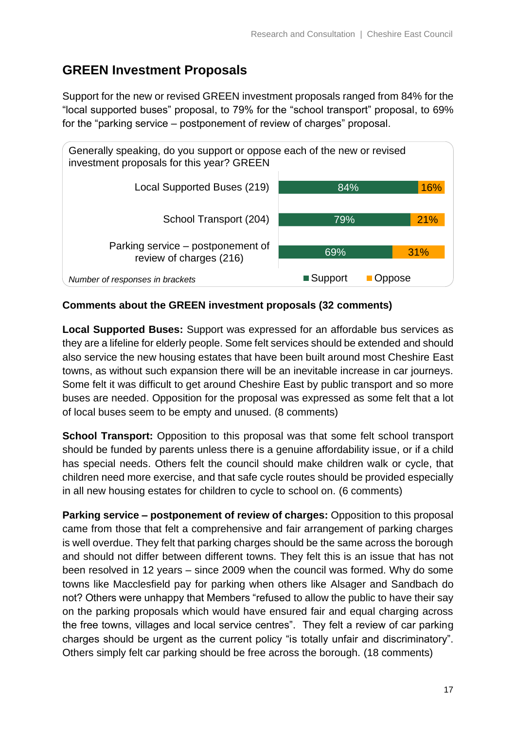## **GREEN Investment Proposals**

Support for the new or revised GREEN investment proposals ranged from 84% for the "local supported buses" proposal, to 79% for the "school transport" proposal, to 69% for the "parking service – postponement of review of charges" proposal.



#### **Comments about the GREEN investment proposals (32 comments)**

**Local Supported Buses:** Support was expressed for an affordable bus services as they are a lifeline for elderly people. Some felt services should be extended and should also service the new housing estates that have been built around most Cheshire East towns, as without such expansion there will be an inevitable increase in car journeys. Some felt it was difficult to get around Cheshire East by public transport and so more buses are needed. Opposition for the proposal was expressed as some felt that a lot of local buses seem to be empty and unused. (8 comments)

**School Transport:** Opposition to this proposal was that some felt school transport should be funded by parents unless there is a genuine affordability issue, or if a child has special needs. Others felt the council should make children walk or cycle, that children need more exercise, and that safe cycle routes should be provided especially in all new housing estates for children to cycle to school on. (6 comments)

**Parking service – postponement of review of charges:** Opposition to this proposal came from those that felt a comprehensive and fair arrangement of parking charges is well overdue. They felt that parking charges should be the same across the borough and should not differ between different towns. They felt this is an issue that has not been resolved in 12 years – since 2009 when the council was formed. Why do some towns like Macclesfield pay for parking when others like Alsager and Sandbach do not? Others were unhappy that Members "refused to allow the public to have their say on the parking proposals which would have ensured fair and equal charging across the free towns, villages and local service centres". They felt a review of car parking charges should be urgent as the current policy "is totally unfair and discriminatory". Others simply felt car parking should be free across the borough. (18 comments)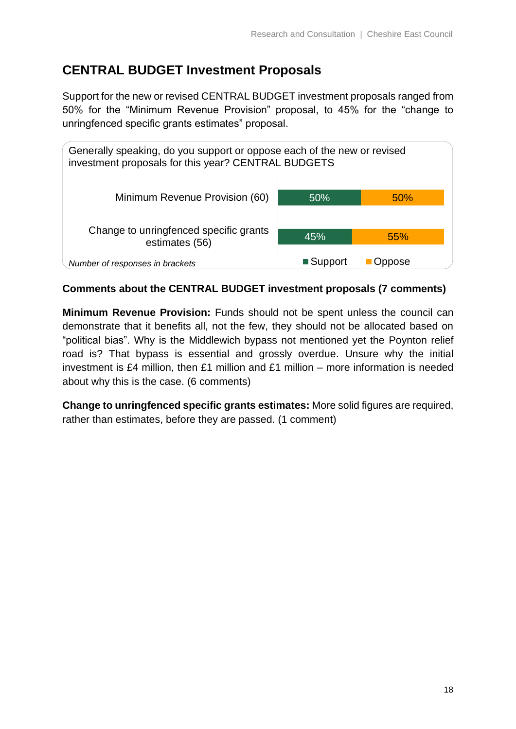## **CENTRAL BUDGET Investment Proposals**

Support for the new or revised CENTRAL BUDGET investment proposals ranged from 50% for the "Minimum Revenue Provision" proposal, to 45% for the "change to unringfenced specific grants estimates" proposal.



### **Comments about the CENTRAL BUDGET investment proposals (7 comments)**

**Minimum Revenue Provision:** Funds should not be spent unless the council can demonstrate that it benefits all, not the few, they should not be allocated based on "political bias". Why is the Middlewich bypass not mentioned yet the Poynton relief road is? That bypass is essential and grossly overdue. Unsure why the initial investment is £4 million, then £1 million and £1 million – more information is needed about why this is the case. (6 comments)

**Change to unringfenced specific grants estimates:** More solid figures are required, rather than estimates, before they are passed. (1 comment)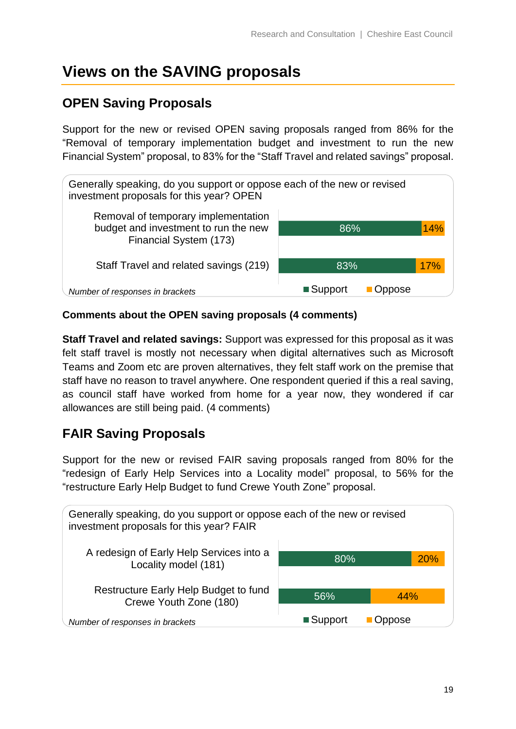## <span id="page-18-0"></span>**Views on the SAVING proposals**

## **OPEN Saving Proposals**

Support for the new or revised OPEN saving proposals ranged from 86% for the "Removal of temporary implementation budget and investment to run the new Financial System" proposal, to 83% for the "Staff Travel and related savings" proposal.



### **Comments about the OPEN saving proposals (4 comments)**

**Staff Travel and related savings:** Support was expressed for this proposal as it was felt staff travel is mostly not necessary when digital alternatives such as Microsoft Teams and Zoom etc are proven alternatives, they felt staff work on the premise that staff have no reason to travel anywhere. One respondent queried if this a real saving, as council staff have worked from home for a year now, they wondered if car allowances are still being paid. (4 comments)

## **FAIR Saving Proposals**

Support for the new or revised FAIR saving proposals ranged from 80% for the "redesign of Early Help Services into a Locality model" proposal, to 56% for the "restructure Early Help Budget to fund Crewe Youth Zone" proposal.

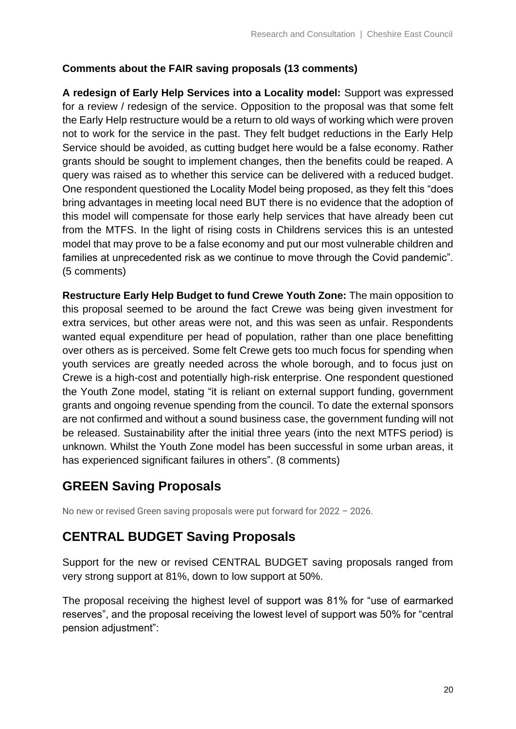### **Comments about the FAIR saving proposals (13 comments)**

**A redesign of Early Help Services into a Locality model:** Support was expressed for a review / redesign of the service. Opposition to the proposal was that some felt the Early Help restructure would be a return to old ways of working which were proven not to work for the service in the past. They felt budget reductions in the Early Help Service should be avoided, as cutting budget here would be a false economy. Rather grants should be sought to implement changes, then the benefits could be reaped. A query was raised as to whether this service can be delivered with a reduced budget. One respondent questioned the Locality Model being proposed, as they felt this "does bring advantages in meeting local need BUT there is no evidence that the adoption of this model will compensate for those early help services that have already been cut from the MTFS. In the light of rising costs in Childrens services this is an untested model that may prove to be a false economy and put our most vulnerable children and families at unprecedented risk as we continue to move through the Covid pandemic". (5 comments)

**Restructure Early Help Budget to fund Crewe Youth Zone:** The main opposition to this proposal seemed to be around the fact Crewe was being given investment for extra services, but other areas were not, and this was seen as unfair. Respondents wanted equal expenditure per head of population, rather than one place benefitting over others as is perceived. Some felt Crewe gets too much focus for spending when youth services are greatly needed across the whole borough, and to focus just on Crewe is a high-cost and potentially high-risk enterprise. One respondent questioned the Youth Zone model, stating "it is reliant on external support funding, government grants and ongoing revenue spending from the council. To date the external sponsors are not confirmed and without a sound business case, the government funding will not be released. Sustainability after the initial three years (into the next MTFS period) is unknown. Whilst the Youth Zone model has been successful in some urban areas, it has experienced significant failures in others". (8 comments)

## **GREEN Saving Proposals**

No new or revised Green saving proposals were put forward for 2022 – 2026.

## **CENTRAL BUDGET Saving Proposals**

Support for the new or revised CENTRAL BUDGET saving proposals ranged from very strong support at 81%, down to low support at 50%.

The proposal receiving the highest level of support was 81% for "use of earmarked reserves", and the proposal receiving the lowest level of support was 50% for "central pension adjustment":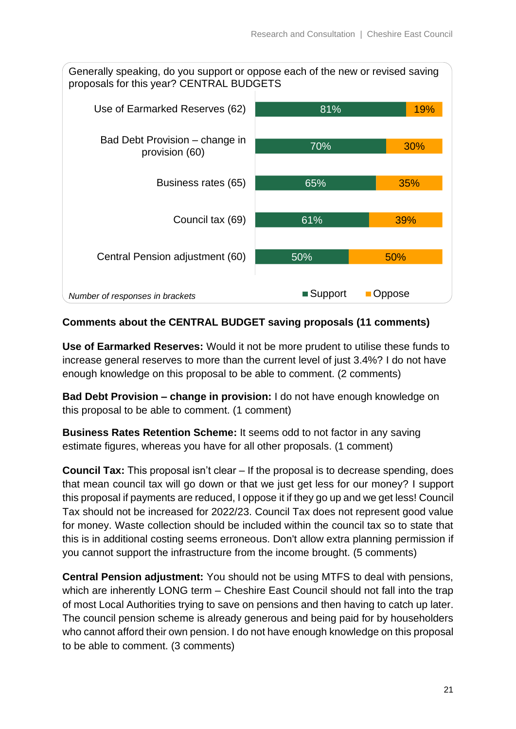81% 19% Use of Earmarked Reserves (62) Generally speaking, do you support or oppose each of the new or revised saving proposals for this year? CENTRAL BUDGETS



### **Comments about the CENTRAL BUDGET saving proposals (11 comments)**

**Use of Earmarked Reserves:** Would it not be more prudent to utilise these funds to increase general reserves to more than the current level of just 3.4%? I do not have enough knowledge on this proposal to be able to comment. (2 comments)

**Bad Debt Provision – change in provision:** I do not have enough knowledge on this proposal to be able to comment. (1 comment)

**Business Rates Retention Scheme:** It seems odd to not factor in any saving estimate figures, whereas you have for all other proposals. (1 comment)

**Council Tax:** This proposal isn't clear – If the proposal is to decrease spending, does that mean council tax will go down or that we just get less for our money? I support this proposal if payments are reduced, I oppose it if they go up and we get less! Council Tax should not be increased for 2022/23. Council Tax does not represent good value for money. Waste collection should be included within the council tax so to state that this is in additional costing seems erroneous. Don't allow extra planning permission if you cannot support the infrastructure from the income brought. (5 comments)

**Central Pension adjustment:** You should not be using MTFS to deal with pensions, which are inherently LONG term – Cheshire East Council should not fall into the trap of most Local Authorities trying to save on pensions and then having to catch up later. The council pension scheme is already generous and being paid for by householders who cannot afford their own pension. I do not have enough knowledge on this proposal to be able to comment. (3 comments)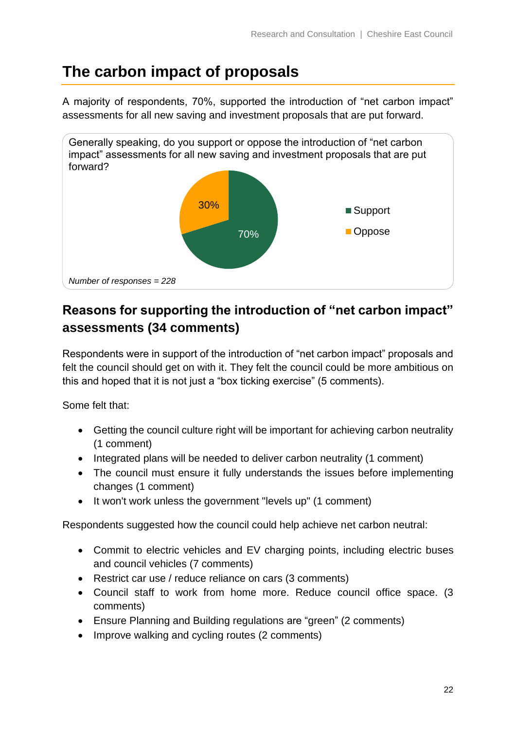## <span id="page-21-0"></span>**The carbon impact of proposals**

A majority of respondents, 70%, supported the introduction of "net carbon impact" assessments for all new saving and investment proposals that are put forward.



## **Reasons for supporting the introduction of "net carbon impact" assessments (34 comments)**

Respondents were in support of the introduction of "net carbon impact" proposals and felt the council should get on with it. They felt the council could be more ambitious on this and hoped that it is not just a "box ticking exercise" (5 comments).

Some felt that:

- Getting the council culture right will be important for achieving carbon neutrality (1 comment)
- Integrated plans will be needed to deliver carbon neutrality (1 comment)
- The council must ensure it fully understands the issues before implementing changes (1 comment)
- It won't work unless the government "levels up" (1 comment)

Respondents suggested how the council could help achieve net carbon neutral:

- Commit to electric vehicles and EV charging points, including electric buses and council vehicles (7 comments)
- Restrict car use / reduce reliance on cars (3 comments)
- Council staff to work from home more. Reduce council office space. (3 comments)
- Ensure Planning and Building regulations are "green" (2 comments)
- Improve walking and cycling routes (2 comments)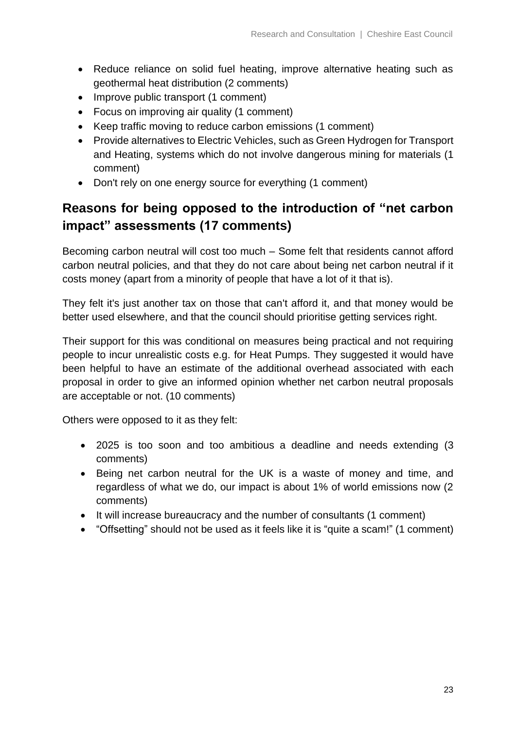- Reduce reliance on solid fuel heating, improve alternative heating such as geothermal heat distribution (2 comments)
- Improve public transport (1 comment)
- Focus on improving air quality (1 comment)
- Keep traffic moving to reduce carbon emissions (1 comment)
- Provide alternatives to Electric Vehicles, such as Green Hydrogen for Transport and Heating, systems which do not involve dangerous mining for materials (1 comment)
- Don't rely on one energy source for everything (1 comment)

## **Reasons for being opposed to the introduction of "net carbon impact" assessments (17 comments)**

Becoming carbon neutral will cost too much – Some felt that residents cannot afford carbon neutral policies, and that they do not care about being net carbon neutral if it costs money (apart from a minority of people that have a lot of it that is).

They felt it's just another tax on those that can't afford it, and that money would be better used elsewhere, and that the council should prioritise getting services right.

Their support for this was conditional on measures being practical and not requiring people to incur unrealistic costs e.g. for Heat Pumps. They suggested it would have been helpful to have an estimate of the additional overhead associated with each proposal in order to give an informed opinion whether net carbon neutral proposals are acceptable or not. (10 comments)

Others were opposed to it as they felt:

- 2025 is too soon and too ambitious a deadline and needs extending (3 comments)
- Being net carbon neutral for the UK is a waste of money and time, and regardless of what we do, our impact is about 1% of world emissions now (2 comments)
- It will increase bureaucracy and the number of consultants (1 comment)
- "Offsetting" should not be used as it feels like it is "quite a scam!" (1 comment)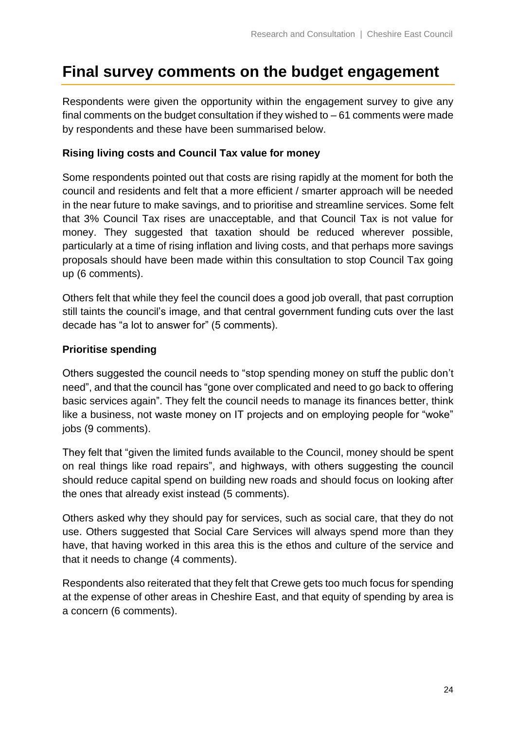## <span id="page-23-0"></span>**Final survey comments on the budget engagement**

Respondents were given the opportunity within the engagement survey to give any final comments on the budget consultation if they wished to  $-61$  comments were made by respondents and these have been summarised below.

#### **Rising living costs and Council Tax value for money**

Some respondents pointed out that costs are rising rapidly at the moment for both the council and residents and felt that a more efficient / smarter approach will be needed in the near future to make savings, and to prioritise and streamline services. Some felt that 3% Council Tax rises are unacceptable, and that Council Tax is not value for money. They suggested that taxation should be reduced wherever possible, particularly at a time of rising inflation and living costs, and that perhaps more savings proposals should have been made within this consultation to stop Council Tax going up (6 comments).

Others felt that while they feel the council does a good job overall, that past corruption still taints the council's image, and that central government funding cuts over the last decade has "a lot to answer for" (5 comments).

#### **Prioritise spending**

Others suggested the council needs to "stop spending money on stuff the public don't need", and that the council has "gone over complicated and need to go back to offering basic services again". They felt the council needs to manage its finances better, think like a business, not waste money on IT projects and on employing people for "woke" jobs (9 comments).

They felt that "given the limited funds available to the Council, money should be spent on real things like road repairs", and highways, with others suggesting the council should reduce capital spend on building new roads and should focus on looking after the ones that already exist instead (5 comments).

Others asked why they should pay for services, such as social care, that they do not use. Others suggested that Social Care Services will always spend more than they have, that having worked in this area this is the ethos and culture of the service and that it needs to change (4 comments).

Respondents also reiterated that they felt that Crewe gets too much focus for spending at the expense of other areas in Cheshire East, and that equity of spending by area is a concern (6 comments).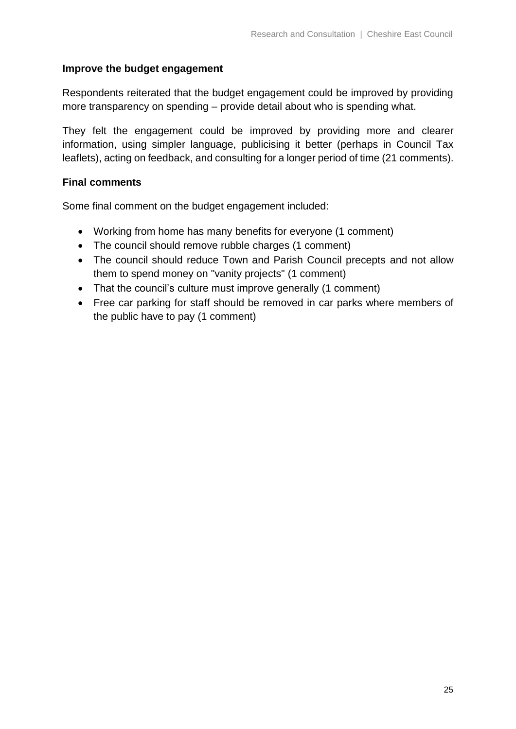#### **Improve the budget engagement**

Respondents reiterated that the budget engagement could be improved by providing more transparency on spending – provide detail about who is spending what.

They felt the engagement could be improved by providing more and clearer information, using simpler language, publicising it better (perhaps in Council Tax leaflets), acting on feedback, and consulting for a longer period of time (21 comments).

#### **Final comments**

Some final comment on the budget engagement included:

- Working from home has many benefits for everyone (1 comment)
- The council should remove rubble charges (1 comment)
- The council should reduce Town and Parish Council precepts and not allow them to spend money on "vanity projects" (1 comment)
- That the council's culture must improve generally (1 comment)
- Free car parking for staff should be removed in car parks where members of the public have to pay (1 comment)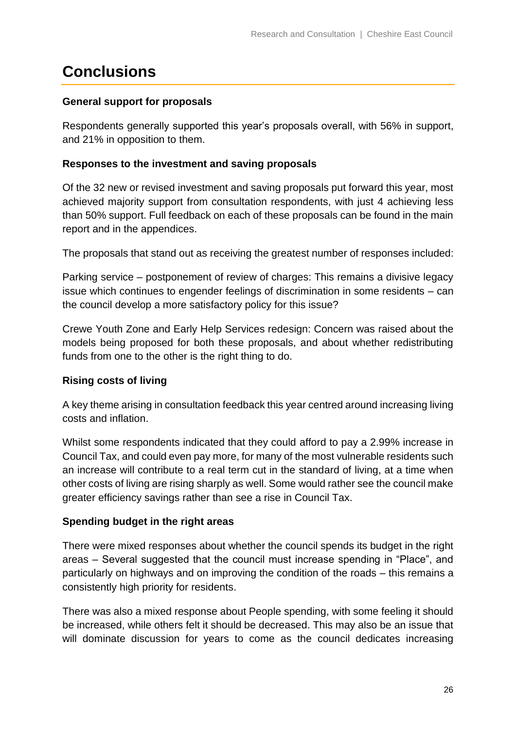## <span id="page-25-0"></span>**Conclusions**

### **General support for proposals**

Respondents generally supported this year's proposals overall, with 56% in support, and 21% in opposition to them.

#### **Responses to the investment and saving proposals**

Of the 32 new or revised investment and saving proposals put forward this year, most achieved majority support from consultation respondents, with just 4 achieving less than 50% support. Full feedback on each of these proposals can be found in the main report and in the appendices.

The proposals that stand out as receiving the greatest number of responses included:

Parking service – postponement of review of charges: This remains a divisive legacy issue which continues to engender feelings of discrimination in some residents – can the council develop a more satisfactory policy for this issue?

Crewe Youth Zone and Early Help Services redesign: Concern was raised about the models being proposed for both these proposals, and about whether redistributing funds from one to the other is the right thing to do.

### **Rising costs of living**

A key theme arising in consultation feedback this year centred around increasing living costs and inflation.

Whilst some respondents indicated that they could afford to pay a 2.99% increase in Council Tax, and could even pay more, for many of the most vulnerable residents such an increase will contribute to a real term cut in the standard of living, at a time when other costs of living are rising sharply as well. Some would rather see the council make greater efficiency savings rather than see a rise in Council Tax.

### **Spending budget in the right areas**

There were mixed responses about whether the council spends its budget in the right areas – Several suggested that the council must increase spending in "Place", and particularly on highways and on improving the condition of the roads – this remains a consistently high priority for residents.

There was also a mixed response about People spending, with some feeling it should be increased, while others felt it should be decreased. This may also be an issue that will dominate discussion for years to come as the council dedicates increasing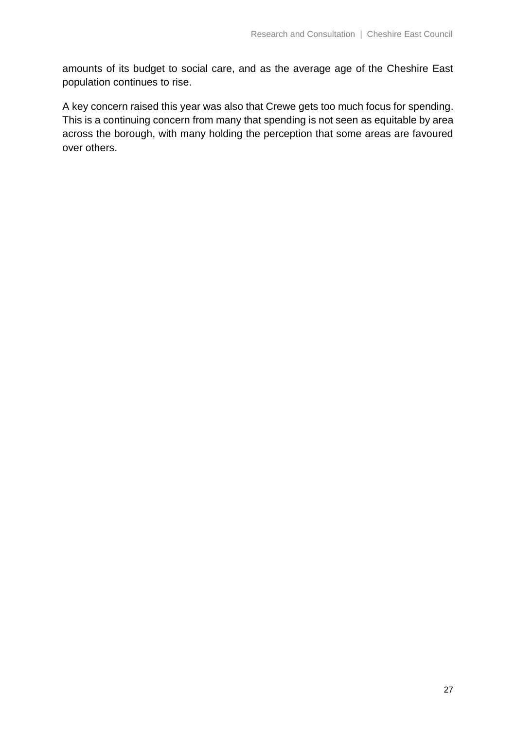amounts of its budget to social care, and as the average age of the Cheshire East population continues to rise.

A key concern raised this year was also that Crewe gets too much focus for spending. This is a continuing concern from many that spending is not seen as equitable by area across the borough, with many holding the perception that some areas are favoured over others.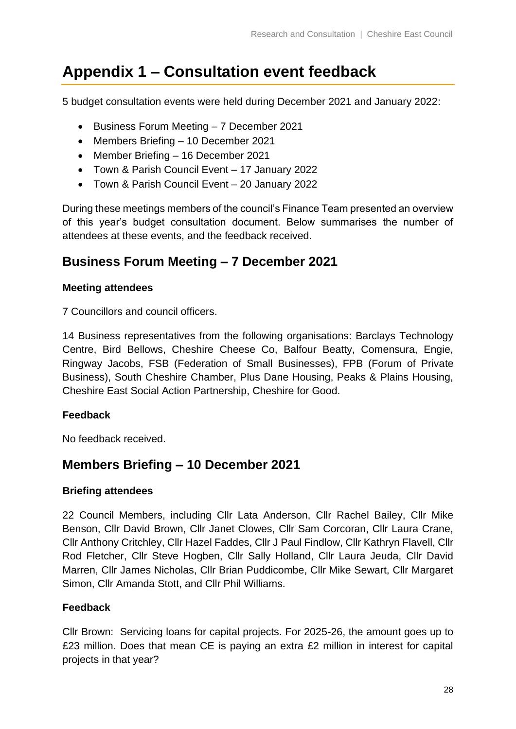## <span id="page-27-0"></span>**Appendix 1 – Consultation event feedback**

5 budget consultation events were held during December 2021 and January 2022:

- Business Forum Meeting 7 December 2021
- Members Briefing 10 December 2021
- Member Briefing 16 December 2021
- Town & Parish Council Event 17 January 2022
- Town & Parish Council Event 20 January 2022

During these meetings members of the council's Finance Team presented an overview of this year's budget consultation document. Below summarises the number of attendees at these events, and the feedback received.

## **Business Forum Meeting – 7 December 2021**

#### **Meeting attendees**

7 Councillors and council officers.

14 Business representatives from the following organisations: Barclays Technology Centre, Bird Bellows, Cheshire Cheese Co, Balfour Beatty, Comensura, Engie, Ringway Jacobs, FSB (Federation of Small Businesses), FPB (Forum of Private Business), South Cheshire Chamber, Plus Dane Housing, Peaks & Plains Housing, Cheshire East Social Action Partnership, Cheshire for Good.

### **Feedback**

No feedback received.

### **Members Briefing – 10 December 2021**

#### **Briefing attendees**

22 Council Members, including Cllr Lata Anderson, Cllr Rachel Bailey, Cllr Mike Benson, Cllr David Brown, Cllr Janet Clowes, Cllr Sam Corcoran, Cllr Laura Crane, Cllr Anthony Critchley, Cllr Hazel Faddes, Cllr J Paul Findlow, Cllr Kathryn Flavell, Cllr Rod Fletcher, Cllr Steve Hogben, Cllr Sally Holland, Cllr Laura Jeuda, Cllr David Marren, Cllr James Nicholas, Cllr Brian Puddicombe, Cllr Mike Sewart, Cllr Margaret Simon, Cllr Amanda Stott, and Cllr Phil Williams.

### **Feedback**

Cllr Brown: Servicing loans for capital projects. For 2025-26, the amount goes up to £23 million. Does that mean CE is paying an extra £2 million in interest for capital projects in that year?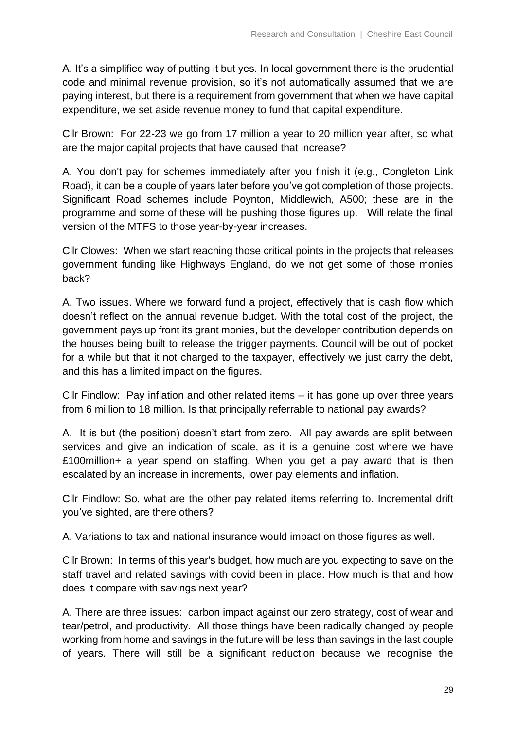A. It's a simplified way of putting it but yes. In local government there is the prudential code and minimal revenue provision, so it's not automatically assumed that we are paying interest, but there is a requirement from government that when we have capital expenditure, we set aside revenue money to fund that capital expenditure.

Cllr Brown: For 22-23 we go from 17 million a year to 20 million year after, so what are the major capital projects that have caused that increase?

A. You don't pay for schemes immediately after you finish it (e.g., Congleton Link Road), it can be a couple of years later before you've got completion of those projects. Significant Road schemes include Poynton, Middlewich, A500; these are in the programme and some of these will be pushing those figures up. Will relate the final version of the MTFS to those year-by-year increases.

Cllr Clowes: When we start reaching those critical points in the projects that releases government funding like Highways England, do we not get some of those monies back?

A. Two issues. Where we forward fund a project, effectively that is cash flow which doesn't reflect on the annual revenue budget. With the total cost of the project, the government pays up front its grant monies, but the developer contribution depends on the houses being built to release the trigger payments. Council will be out of pocket for a while but that it not charged to the taxpayer, effectively we just carry the debt, and this has a limited impact on the figures.

Cllr Findlow: Pay inflation and other related items – it has gone up over three years from 6 million to 18 million. Is that principally referrable to national pay awards?

A. It is but (the position) doesn't start from zero. All pay awards are split between services and give an indication of scale, as it is a genuine cost where we have £100million+ a year spend on staffing. When you get a pay award that is then escalated by an increase in increments, lower pay elements and inflation.

Cllr Findlow: So, what are the other pay related items referring to. Incremental drift you've sighted, are there others?

A. Variations to tax and national insurance would impact on those figures as well.

Cllr Brown: In terms of this year's budget, how much are you expecting to save on the staff travel and related savings with covid been in place. How much is that and how does it compare with savings next year?

A. There are three issues: carbon impact against our zero strategy, cost of wear and tear/petrol, and productivity. All those things have been radically changed by people working from home and savings in the future will be less than savings in the last couple of years. There will still be a significant reduction because we recognise the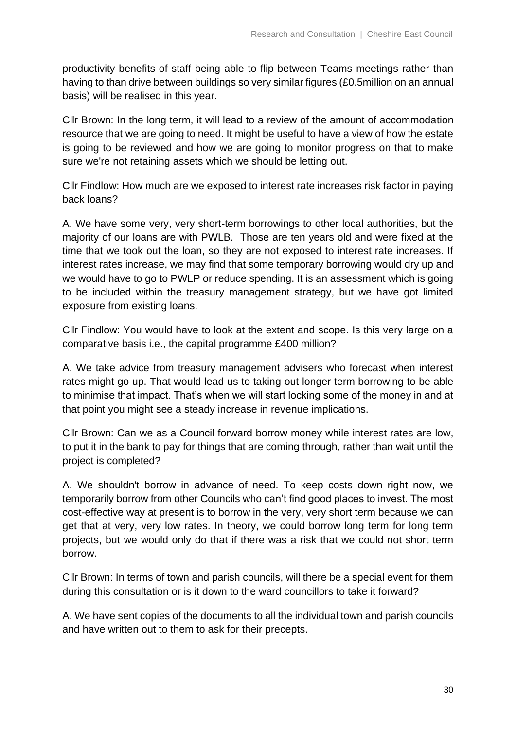productivity benefits of staff being able to flip between Teams meetings rather than having to than drive between buildings so very similar figures (£0.5million on an annual basis) will be realised in this year.

Cllr Brown: In the long term, it will lead to a review of the amount of accommodation resource that we are going to need. It might be useful to have a view of how the estate is going to be reviewed and how we are going to monitor progress on that to make sure we're not retaining assets which we should be letting out.

Cllr Findlow: How much are we exposed to interest rate increases risk factor in paying back loans?

A. We have some very, very short-term borrowings to other local authorities, but the majority of our loans are with PWLB. Those are ten years old and were fixed at the time that we took out the loan, so they are not exposed to interest rate increases. If interest rates increase, we may find that some temporary borrowing would dry up and we would have to go to PWLP or reduce spending. It is an assessment which is going to be included within the treasury management strategy, but we have got limited exposure from existing loans.

Cllr Findlow: You would have to look at the extent and scope. Is this very large on a comparative basis i.e., the capital programme £400 million?

A. We take advice from treasury management advisers who forecast when interest rates might go up. That would lead us to taking out longer term borrowing to be able to minimise that impact. That's when we will start locking some of the money in and at that point you might see a steady increase in revenue implications.

Cllr Brown: Can we as a Council forward borrow money while interest rates are low, to put it in the bank to pay for things that are coming through, rather than wait until the project is completed?

A. We shouldn't borrow in advance of need. To keep costs down right now, we temporarily borrow from other Councils who can't find good places to invest. The most cost-effective way at present is to borrow in the very, very short term because we can get that at very, very low rates. In theory, we could borrow long term for long term projects, but we would only do that if there was a risk that we could not short term borrow.

Cllr Brown: In terms of town and parish councils, will there be a special event for them during this consultation or is it down to the ward councillors to take it forward?

A. We have sent copies of the documents to all the individual town and parish councils and have written out to them to ask for their precepts.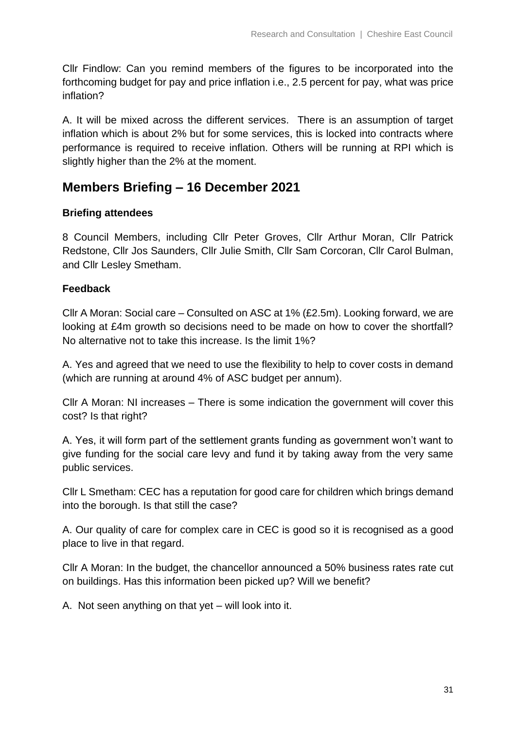Cllr Findlow: Can you remind members of the figures to be incorporated into the forthcoming budget for pay and price inflation i.e., 2.5 percent for pay, what was price inflation?

A. It will be mixed across the different services. There is an assumption of target inflation which is about 2% but for some services, this is locked into contracts where performance is required to receive inflation. Others will be running at RPI which is slightly higher than the 2% at the moment.

## **Members Briefing – 16 December 2021**

#### **Briefing attendees**

8 Council Members, including Cllr Peter Groves, Cllr Arthur Moran, Cllr Patrick Redstone, Cllr Jos Saunders, Cllr Julie Smith, Cllr Sam Corcoran, Cllr Carol Bulman, and Cllr Lesley Smetham.

#### **Feedback**

Cllr A Moran: Social care – Consulted on ASC at 1% (£2.5m). Looking forward, we are looking at £4m growth so decisions need to be made on how to cover the shortfall? No alternative not to take this increase. Is the limit 1%?

A. Yes and agreed that we need to use the flexibility to help to cover costs in demand (which are running at around 4% of ASC budget per annum).

Cllr A Moran: NI increases – There is some indication the government will cover this cost? Is that right?

A. Yes, it will form part of the settlement grants funding as government won't want to give funding for the social care levy and fund it by taking away from the very same public services.

Cllr L Smetham: CEC has a reputation for good care for children which brings demand into the borough. Is that still the case?

A. Our quality of care for complex care in CEC is good so it is recognised as a good place to live in that regard.

Cllr A Moran: In the budget, the chancellor announced a 50% business rates rate cut on buildings. Has this information been picked up? Will we benefit?

A. Not seen anything on that yet – will look into it.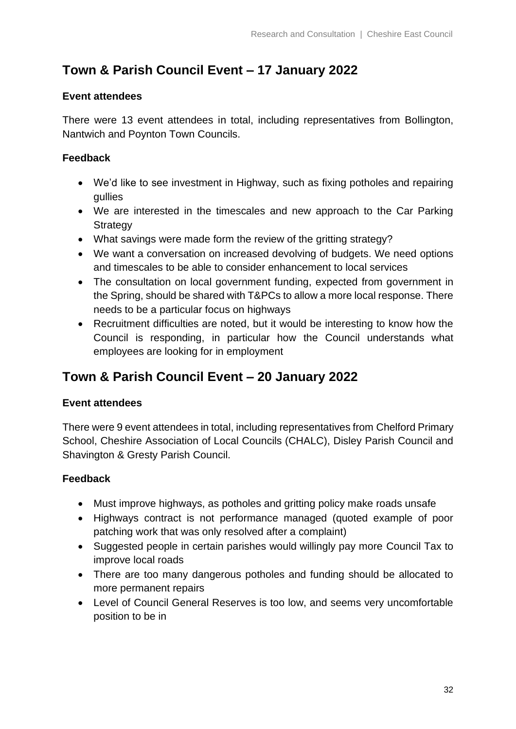## **Town & Parish Council Event – 17 January 2022**

#### **Event attendees**

There were 13 event attendees in total, including representatives from Bollington, Nantwich and Poynton Town Councils.

#### **Feedback**

- We'd like to see investment in Highway, such as fixing potholes and repairing gullies
- We are interested in the timescales and new approach to the Car Parking **Strategy**
- What savings were made form the review of the gritting strategy?
- We want a conversation on increased devolving of budgets. We need options and timescales to be able to consider enhancement to local services
- The consultation on local government funding, expected from government in the Spring, should be shared with T&PCs to allow a more local response. There needs to be a particular focus on highways
- Recruitment difficulties are noted, but it would be interesting to know how the Council is responding, in particular how the Council understands what employees are looking for in employment

## **Town & Parish Council Event – 20 January 2022**

### **Event attendees**

There were 9 event attendees in total, including representatives from Chelford Primary School, Cheshire Association of Local Councils (CHALC), Disley Parish Council and Shavington & Gresty Parish Council.

### **Feedback**

- Must improve highways, as potholes and gritting policy make roads unsafe
- Highways contract is not performance managed (quoted example of poor patching work that was only resolved after a complaint)
- Suggested people in certain parishes would willingly pay more Council Tax to improve local roads
- There are too many dangerous potholes and funding should be allocated to more permanent repairs
- Level of Council General Reserves is too low, and seems very uncomfortable position to be in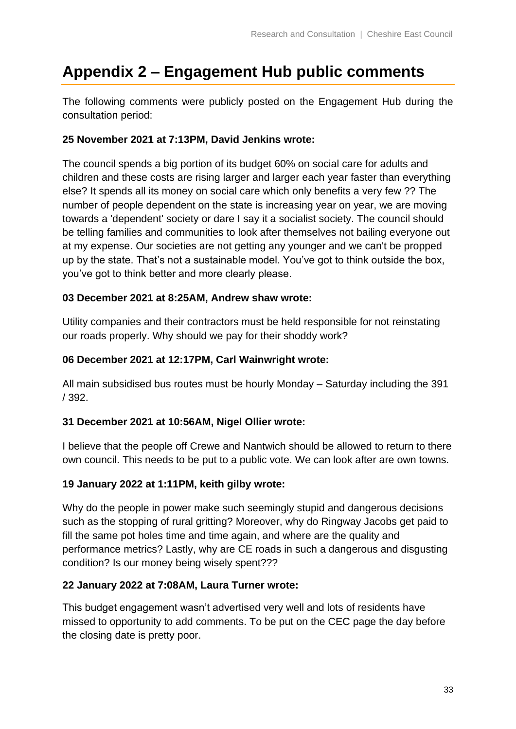## <span id="page-32-0"></span>**Appendix 2 – Engagement Hub public comments**

The following comments were publicly posted on the Engagement Hub during the consultation period:

### **25 November 2021 at 7:13PM, David Jenkins wrote:**

The council spends a big portion of its budget 60% on social care for adults and children and these costs are rising larger and larger each year faster than everything else? It spends all its money on social care which only benefits a very few ?? The number of people dependent on the state is increasing year on year, we are moving towards a 'dependent' society or dare I say it a socialist society. The council should be telling families and communities to look after themselves not bailing everyone out at my expense. Our societies are not getting any younger and we can't be propped up by the state. That's not a sustainable model. You've got to think outside the box, you've got to think better and more clearly please.

### **03 December 2021 at 8:25AM, Andrew shaw wrote:**

Utility companies and their contractors must be held responsible for not reinstating our roads properly. Why should we pay for their shoddy work?

### **06 December 2021 at 12:17PM, Carl Wainwright wrote:**

All main subsidised bus routes must be hourly Monday – Saturday including the 391 / 392.

### **31 December 2021 at 10:56AM, Nigel Ollier wrote:**

I believe that the people off Crewe and Nantwich should be allowed to return to there own council. This needs to be put to a public vote. We can look after are own towns.

### **19 January 2022 at 1:11PM, keith gilby wrote:**

Why do the people in power make such seemingly stupid and dangerous decisions such as the stopping of rural gritting? Moreover, why do Ringway Jacobs get paid to fill the same pot holes time and time again, and where are the quality and performance metrics? Lastly, why are CE roads in such a dangerous and disgusting condition? Is our money being wisely spent???

### **22 January 2022 at 7:08AM, Laura Turner wrote:**

This budget engagement wasn't advertised very well and lots of residents have missed to opportunity to add comments. To be put on the CEC page the day before the closing date is pretty poor.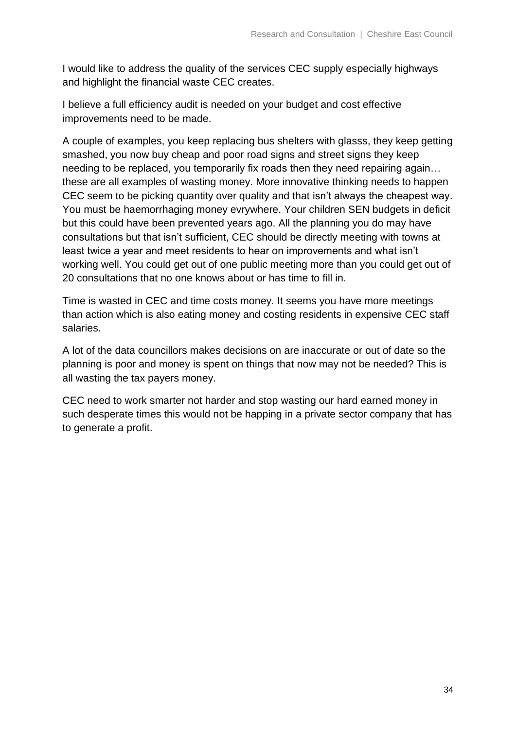I would like to address the quality of the services CEC supply especially highways and highlight the financial waste CEC creates.

I believe a full efficiency audit is needed on your budget and cost effective improvements need to be made.

A couple of examples, you keep replacing bus shelters with glasss, they keep getting smashed, you now buy cheap and poor road signs and street signs they keep needing to be replaced, you temporarily fix roads then they need repairing again… these are all examples of wasting money. More innovative thinking needs to happen CEC seem to be picking quantity over quality and that isn't always the cheapest way. You must be haemorrhaging money evrywhere. Your children SEN budgets in deficit but this could have been prevented years ago. All the planning you do may have consultations but that isn't sufficient, CEC should be directly meeting with towns at least twice a year and meet residents to hear on improvements and what isn't working well. You could get out of one public meeting more than you could get out of 20 consultations that no one knows about or has time to fill in.

Time is wasted in CEC and time costs money. It seems you have more meetings than action which is also eating money and costing residents in expensive CEC staff salaries.

A lot of the data councillors makes decisions on are inaccurate or out of date so the planning is poor and money is spent on things that now may not be needed? This is all wasting the tax payers money.

CEC need to work smarter not harder and stop wasting our hard earned money in such desperate times this would not be happing in a private sector company that has to generate a profit.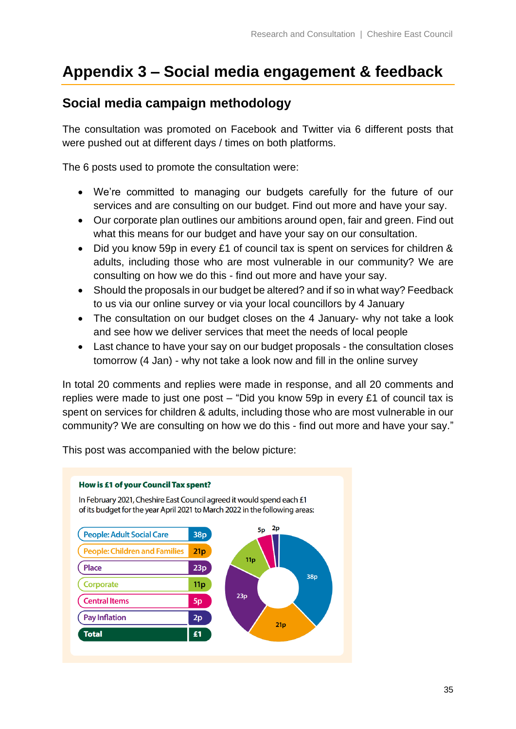## <span id="page-34-0"></span>**Appendix 3 – Social media engagement & feedback**

## **Social media campaign methodology**

The consultation was promoted on Facebook and Twitter via 6 different posts that were pushed out at different days / times on both platforms.

The 6 posts used to promote the consultation were:

- We're committed to managing our budgets carefully for the future of our services and are consulting on our budget. Find out more and have your say.
- Our corporate plan outlines our ambitions around open, fair and green. Find out what this means for our budget and have your say on our consultation.
- Did you know 59p in every £1 of council tax is spent on services for children & adults, including those who are most vulnerable in our community? We are consulting on how we do this - find out more and have your say.
- Should the proposals in our budget be altered? and if so in what way? Feedback to us via our online survey or via your local councillors by 4 January
- The consultation on our budget closes on the 4 January- why not take a look and see how we deliver services that meet the needs of local people
- Last chance to have your say on our budget proposals the consultation closes tomorrow (4 Jan) - why not take a look now and fill in the online survey

In total 20 comments and replies were made in response, and all 20 comments and replies were made to just one post – "Did you know 59p in every £1 of council tax is spent on services for children & adults, including those who are most vulnerable in our community? We are consulting on how we do this - find out more and have your say."

This post was accompanied with the below picture:

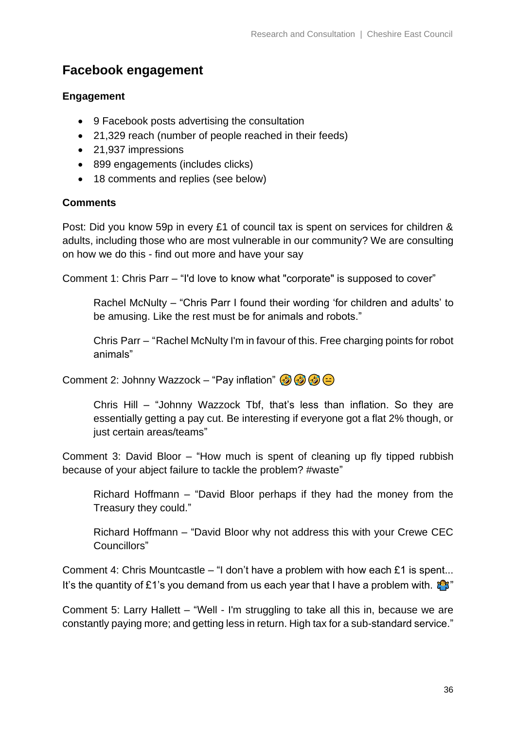## **Facebook engagement**

#### **Engagement**

- 9 Facebook posts advertising the consultation
- 21,329 reach (number of people reached in their feeds)
- 21,937 impressions
- 899 engagements (includes clicks)
- 18 comments and replies (see below)

#### **Comments**

Post: Did you know 59p in every £1 of council tax is spent on services for children & adults, including those who are most vulnerable in our community? We are consulting on how we do this - find out more and have your say

Comment 1: Chris Parr – "I'd love to know what "corporate" is supposed to cover"

Rachel McNulty – "Chris Parr I found their wording 'for children and adults' to be amusing. Like the rest must be for animals and robots."

Chris Parr – "Rachel McNulty I'm in favour of this. Free charging points for robot animals"

Comment 2: Johnny Wazzock – "Pay inflation"  $\circled{3} \circled{3} \circled{2}$ 

Chris Hill – "Johnny Wazzock Tbf, that's less than inflation. So they are essentially getting a pay cut. Be interesting if everyone got a flat 2% though, or just certain areas/teams"

Comment 3: David Bloor – "How much is spent of cleaning up fly tipped rubbish because of your abject failure to tackle the problem? #waste"

Richard Hoffmann – "David Bloor perhaps if they had the money from the Treasury they could."

Richard Hoffmann – "David Bloor why not address this with your Crewe CEC Councillors"

Comment 4: Chris Mountcastle – "I don't have a problem with how each £1 is spent... It's the quantity of £1's you demand from us each year that I have a problem with.  $\mathbb{C}^{\bullet}$ 

Comment 5: Larry Hallett – "Well - I'm struggling to take all this in, because we are constantly paying more; and getting less in return. High tax for a sub-standard service."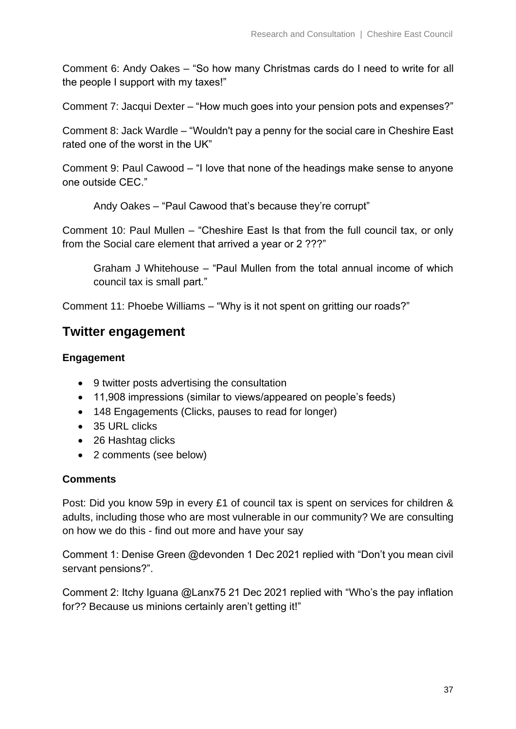Comment 6: Andy Oakes – "So how many Christmas cards do I need to write for all the people I support with my taxes!"

Comment 7: Jacqui Dexter – "How much goes into your pension pots and expenses?"

Comment 8: Jack Wardle – "Wouldn't pay a penny for the social care in Cheshire East rated one of the worst in the UK"

Comment 9: Paul Cawood – "I love that none of the headings make sense to anyone one outside CEC."

Andy Oakes – "Paul Cawood that's because they're corrupt"

Comment 10: Paul Mullen – "Cheshire East Is that from the full council tax, or only from the Social care element that arrived a year or 2 ???"

Graham J Whitehouse – "Paul Mullen from the total annual income of which council tax is small part."

Comment 11: Phoebe Williams – "Why is it not spent on gritting our roads?"

### **Twitter engagement**

#### **Engagement**

- 9 twitter posts advertising the consultation
- 11,908 impressions (similar to views/appeared on people's feeds)
- 148 Engagements (Clicks, pauses to read for longer)
- 35 URL clicks
- 26 Hashtag clicks
- 2 comments (see below)

#### **Comments**

Post: Did you know 59p in every £1 of council tax is spent on services for children & adults, including those who are most vulnerable in our community? We are consulting on how we do this - find out more and have your say

Comment 1: Denise Green @devonden 1 Dec 2021 replied with "Don't you mean civil servant pensions?".

Comment 2: Itchy Iguana @Lanx75 21 Dec 2021 replied with "Who's the pay inflation for?? Because us minions certainly aren't getting it!"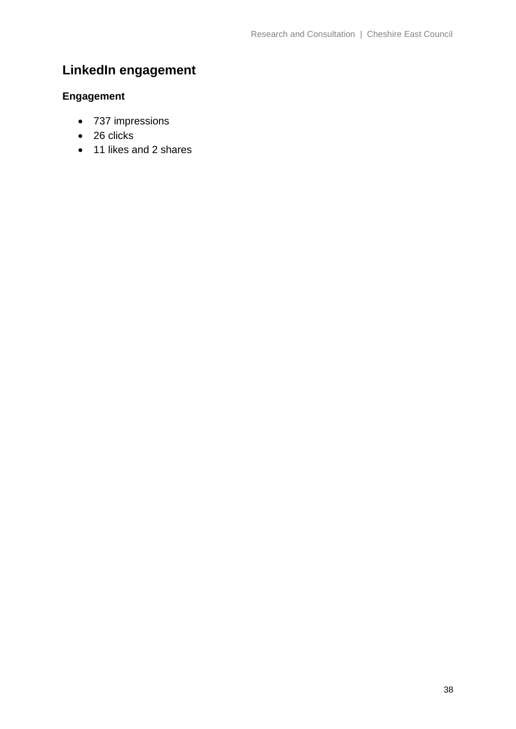## **LinkedIn engagement**

## **Engagement**

- 737 impressions
- 26 clicks
- 11 likes and 2 shares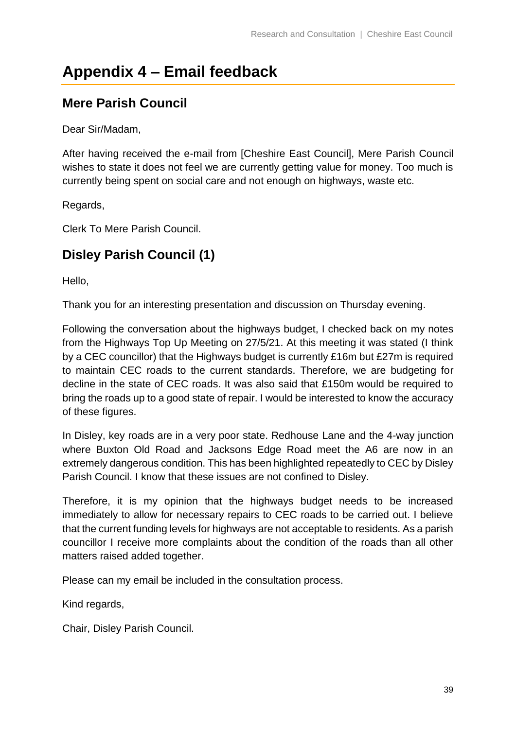## <span id="page-38-0"></span>**Appendix 4 – Email feedback**

## **Mere Parish Council**

Dear Sir/Madam,

After having received the e-mail from [Cheshire East Council], Mere Parish Council wishes to state it does not feel we are currently getting value for money. Too much is currently being spent on social care and not enough on highways, waste etc.

Regards,

Clerk To Mere Parish Council.

## **Disley Parish Council (1)**

Hello,

Thank you for an interesting presentation and discussion on Thursday evening.

Following the conversation about the highways budget, I checked back on my notes from the Highways Top Up Meeting on 27/5/21. At this meeting it was stated (I think by a CEC councillor) that the Highways budget is currently £16m but £27m is required to maintain CEC roads to the current standards. Therefore, we are budgeting for decline in the state of CEC roads. It was also said that £150m would be required to bring the roads up to a good state of repair. I would be interested to know the accuracy of these figures.

In Disley, key roads are in a very poor state. Redhouse Lane and the 4-way junction where Buxton Old Road and Jacksons Edge Road meet the A6 are now in an extremely dangerous condition. This has been highlighted repeatedly to CEC by Disley Parish Council. I know that these issues are not confined to Disley.

Therefore, it is my opinion that the highways budget needs to be increased immediately to allow for necessary repairs to CEC roads to be carried out. I believe that the current funding levels for highways are not acceptable to residents. As a parish councillor I receive more complaints about the condition of the roads than all other matters raised added together.

Please can my email be included in the consultation process.

Kind regards,

Chair, Disley Parish Council.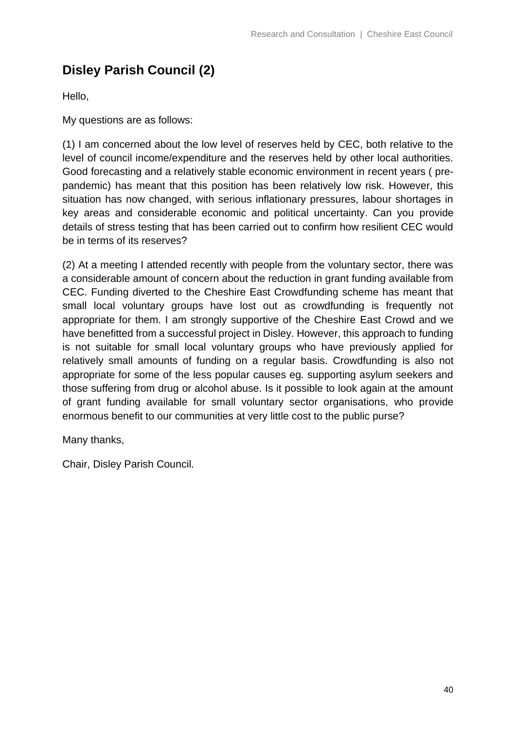## **Disley Parish Council (2)**

Hello,

My questions are as follows:

(1) I am concerned about the low level of reserves held by CEC, both relative to the level of council income/expenditure and the reserves held by other local authorities. Good forecasting and a relatively stable economic environment in recent years ( prepandemic) has meant that this position has been relatively low risk. However, this situation has now changed, with serious inflationary pressures, labour shortages in key areas and considerable economic and political uncertainty. Can you provide details of stress testing that has been carried out to confirm how resilient CEC would be in terms of its reserves?

(2) At a meeting I attended recently with people from the voluntary sector, there was a considerable amount of concern about the reduction in grant funding available from CEC. Funding diverted to the Cheshire East Crowdfunding scheme has meant that small local voluntary groups have lost out as crowdfunding is frequently not appropriate for them. I am strongly supportive of the Cheshire East Crowd and we have benefitted from a successful project in Disley. However, this approach to funding is not suitable for small local voluntary groups who have previously applied for relatively small amounts of funding on a regular basis. Crowdfunding is also not appropriate for some of the less popular causes eg. supporting asylum seekers and those suffering from drug or alcohol abuse. Is it possible to look again at the amount of grant funding available for small voluntary sector organisations, who provide enormous benefit to our communities at very little cost to the public purse?

Many thanks,

Chair, Disley Parish Council.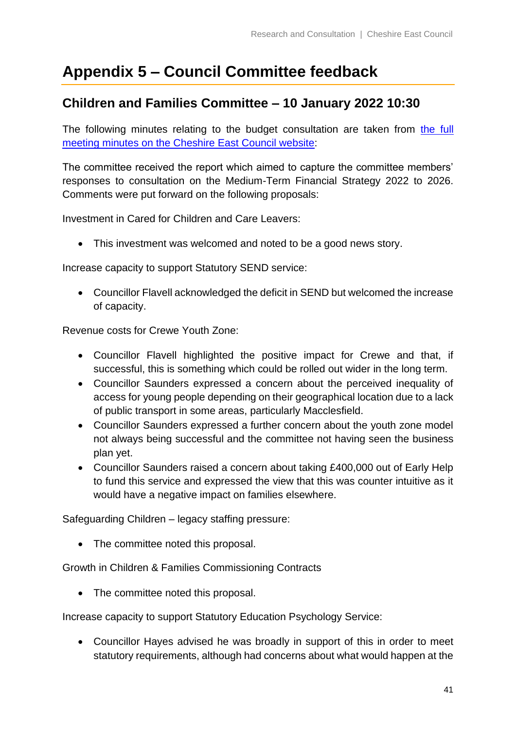## <span id="page-40-0"></span>**Appendix 5 – Council Committee feedback**

## **Children and Families Committee – 10 January 2022 10:30**

The following minutes relating to the budget consultation are taken from the full [meeting minutes on the Cheshire East Council website:](http://moderngov.cheshireeast.gov.uk/ecminutes/documents/g8687/Printed%20minutes%2010th-Jan-2022%2010.30%20Children%20and%20Families%20Committee.pdf?T=1)

The committee received the report which aimed to capture the committee members' responses to consultation on the Medium-Term Financial Strategy 2022 to 2026. Comments were put forward on the following proposals:

Investment in Cared for Children and Care Leavers:

• This investment was welcomed and noted to be a good news story.

Increase capacity to support Statutory SEND service:

• Councillor Flavell acknowledged the deficit in SEND but welcomed the increase of capacity.

Revenue costs for Crewe Youth Zone:

- Councillor Flavell highlighted the positive impact for Crewe and that, if successful, this is something which could be rolled out wider in the long term.
- Councillor Saunders expressed a concern about the perceived inequality of access for young people depending on their geographical location due to a lack of public transport in some areas, particularly Macclesfield.
- Councillor Saunders expressed a further concern about the youth zone model not always being successful and the committee not having seen the business plan yet.
- Councillor Saunders raised a concern about taking £400,000 out of Early Help to fund this service and expressed the view that this was counter intuitive as it would have a negative impact on families elsewhere.

Safeguarding Children – legacy staffing pressure:

• The committee noted this proposal.

Growth in Children & Families Commissioning Contracts

• The committee noted this proposal.

Increase capacity to support Statutory Education Psychology Service:

• Councillor Hayes advised he was broadly in support of this in order to meet statutory requirements, although had concerns about what would happen at the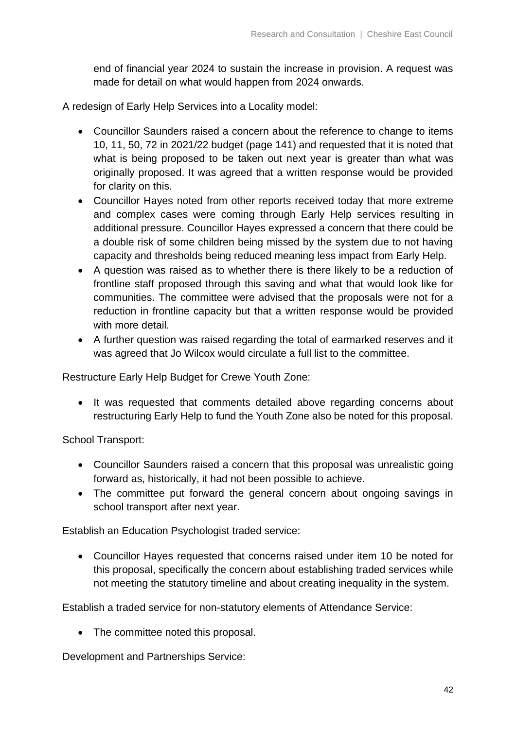end of financial year 2024 to sustain the increase in provision. A request was made for detail on what would happen from 2024 onwards.

A redesign of Early Help Services into a Locality model:

- Councillor Saunders raised a concern about the reference to change to items 10, 11, 50, 72 in 2021/22 budget (page 141) and requested that it is noted that what is being proposed to be taken out next year is greater than what was originally proposed. It was agreed that a written response would be provided for clarity on this.
- Councillor Hayes noted from other reports received today that more extreme and complex cases were coming through Early Help services resulting in additional pressure. Councillor Hayes expressed a concern that there could be a double risk of some children being missed by the system due to not having capacity and thresholds being reduced meaning less impact from Early Help.
- A question was raised as to whether there is there likely to be a reduction of frontline staff proposed through this saving and what that would look like for communities. The committee were advised that the proposals were not for a reduction in frontline capacity but that a written response would be provided with more detail.
- A further question was raised regarding the total of earmarked reserves and it was agreed that Jo Wilcox would circulate a full list to the committee.

Restructure Early Help Budget for Crewe Youth Zone:

• It was requested that comments detailed above regarding concerns about restructuring Early Help to fund the Youth Zone also be noted for this proposal.

School Transport:

- Councillor Saunders raised a concern that this proposal was unrealistic going forward as, historically, it had not been possible to achieve.
- The committee put forward the general concern about ongoing savings in school transport after next year.

Establish an Education Psychologist traded service:

• Councillor Hayes requested that concerns raised under item 10 be noted for this proposal, specifically the concern about establishing traded services while not meeting the statutory timeline and about creating inequality in the system.

Establish a traded service for non-statutory elements of Attendance Service:

• The committee noted this proposal.

Development and Partnerships Service: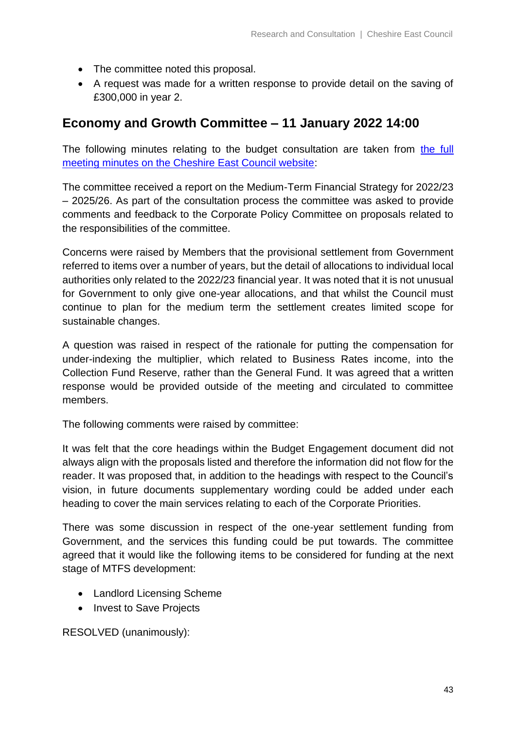- The committee noted this proposal.
- A request was made for a written response to provide detail on the saving of £300,000 in year 2.

## **Economy and Growth Committee – 11 January 2022 14:00**

The following minutes relating to the budget consultation are taken from [the full](http://moderngov.cheshireeast.gov.uk/ecminutes/documents/g8669/Printed%20minutes%2011th-Jan-2022%2014.00%20Economy%20and%20Growth%20Committee.pdf?T=1)  [meeting minutes on the Cheshire East Council website:](http://moderngov.cheshireeast.gov.uk/ecminutes/documents/g8669/Printed%20minutes%2011th-Jan-2022%2014.00%20Economy%20and%20Growth%20Committee.pdf?T=1)

The committee received a report on the Medium-Term Financial Strategy for 2022/23 – 2025/26. As part of the consultation process the committee was asked to provide comments and feedback to the Corporate Policy Committee on proposals related to the responsibilities of the committee.

Concerns were raised by Members that the provisional settlement from Government referred to items over a number of years, but the detail of allocations to individual local authorities only related to the 2022/23 financial year. It was noted that it is not unusual for Government to only give one-year allocations, and that whilst the Council must continue to plan for the medium term the settlement creates limited scope for sustainable changes.

A question was raised in respect of the rationale for putting the compensation for under-indexing the multiplier, which related to Business Rates income, into the Collection Fund Reserve, rather than the General Fund. It was agreed that a written response would be provided outside of the meeting and circulated to committee members.

The following comments were raised by committee:

It was felt that the core headings within the Budget Engagement document did not always align with the proposals listed and therefore the information did not flow for the reader. It was proposed that, in addition to the headings with respect to the Council's vision, in future documents supplementary wording could be added under each heading to cover the main services relating to each of the Corporate Priorities.

There was some discussion in respect of the one-year settlement funding from Government, and the services this funding could be put towards. The committee agreed that it would like the following items to be considered for funding at the next stage of MTFS development:

- Landlord Licensing Scheme
- Invest to Save Projects

RESOLVED (unanimously):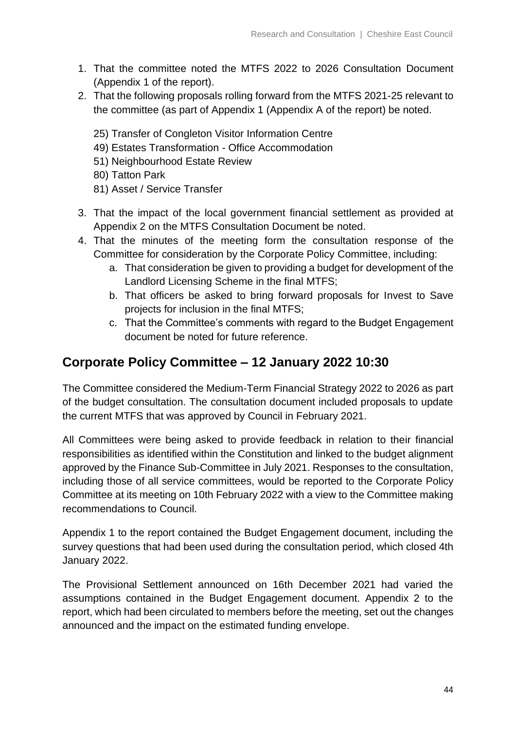- 1. That the committee noted the MTFS 2022 to 2026 Consultation Document (Appendix 1 of the report).
- 2. That the following proposals rolling forward from the MTFS 2021-25 relevant to the committee (as part of Appendix 1 (Appendix A of the report) be noted.
	- 25) Transfer of Congleton Visitor Information Centre
	- 49) Estates Transformation Office Accommodation
	- 51) Neighbourhood Estate Review
	- 80) Tatton Park
	- 81) Asset / Service Transfer
- 3. That the impact of the local government financial settlement as provided at Appendix 2 on the MTFS Consultation Document be noted.
- 4. That the minutes of the meeting form the consultation response of the Committee for consideration by the Corporate Policy Committee, including:
	- a. That consideration be given to providing a budget for development of the Landlord Licensing Scheme in the final MTFS;
	- b. That officers be asked to bring forward proposals for Invest to Save projects for inclusion in the final MTFS;
	- c. That the Committee's comments with regard to the Budget Engagement document be noted for future reference.

## **Corporate Policy Committee – 12 January 2022 10:30**

The Committee considered the Medium-Term Financial Strategy 2022 to 2026 as part of the budget consultation. The consultation document included proposals to update the current MTFS that was approved by Council in February 2021.

All Committees were being asked to provide feedback in relation to their financial responsibilities as identified within the Constitution and linked to the budget alignment approved by the Finance Sub-Committee in July 2021. Responses to the consultation, including those of all service committees, would be reported to the Corporate Policy Committee at its meeting on 10th February 2022 with a view to the Committee making recommendations to Council.

Appendix 1 to the report contained the Budget Engagement document, including the survey questions that had been used during the consultation period, which closed 4th January 2022.

The Provisional Settlement announced on 16th December 2021 had varied the assumptions contained in the Budget Engagement document. Appendix 2 to the report, which had been circulated to members before the meeting, set out the changes announced and the impact on the estimated funding envelope.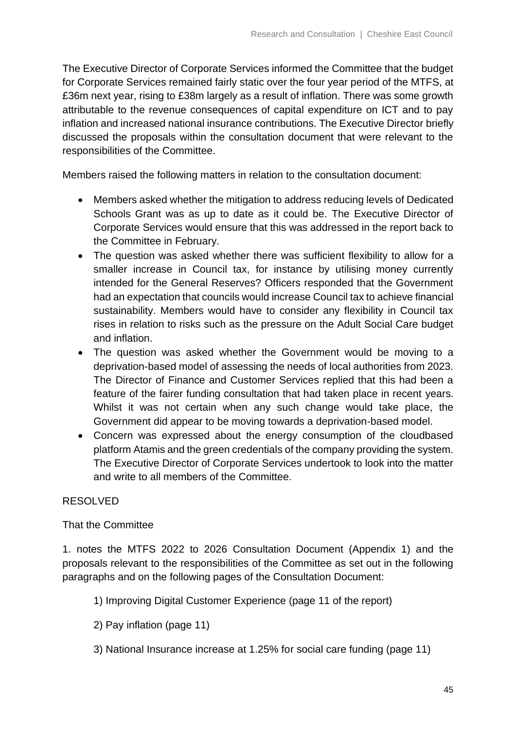The Executive Director of Corporate Services informed the Committee that the budget for Corporate Services remained fairly static over the four year period of the MTFS, at £36m next year, rising to £38m largely as a result of inflation. There was some growth attributable to the revenue consequences of capital expenditure on ICT and to pay inflation and increased national insurance contributions. The Executive Director briefly discussed the proposals within the consultation document that were relevant to the responsibilities of the Committee.

Members raised the following matters in relation to the consultation document:

- Members asked whether the mitigation to address reducing levels of Dedicated Schools Grant was as up to date as it could be. The Executive Director of Corporate Services would ensure that this was addressed in the report back to the Committee in February.
- The question was asked whether there was sufficient flexibility to allow for a smaller increase in Council tax, for instance by utilising money currently intended for the General Reserves? Officers responded that the Government had an expectation that councils would increase Council tax to achieve financial sustainability. Members would have to consider any flexibility in Council tax rises in relation to risks such as the pressure on the Adult Social Care budget and inflation.
- The question was asked whether the Government would be moving to a deprivation-based model of assessing the needs of local authorities from 2023. The Director of Finance and Customer Services replied that this had been a feature of the fairer funding consultation that had taken place in recent years. Whilst it was not certain when any such change would take place, the Government did appear to be moving towards a deprivation-based model.
- Concern was expressed about the energy consumption of the cloudbased platform Atamis and the green credentials of the company providing the system. The Executive Director of Corporate Services undertook to look into the matter and write to all members of the Committee.

### RESOLVED

#### That the Committee

1. notes the MTFS 2022 to 2026 Consultation Document (Appendix 1) and the proposals relevant to the responsibilities of the Committee as set out in the following paragraphs and on the following pages of the Consultation Document:

- 1) Improving Digital Customer Experience (page 11 of the report)
- 2) Pay inflation (page 11)
- 3) National Insurance increase at 1.25% for social care funding (page 11)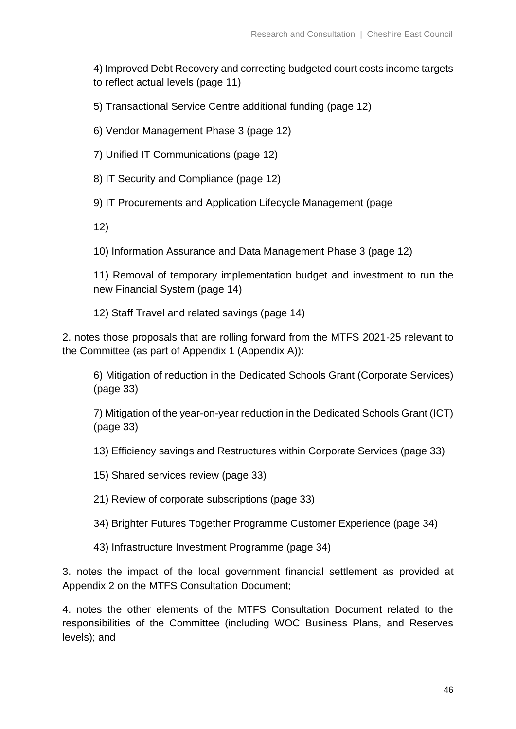4) Improved Debt Recovery and correcting budgeted court costs income targets to reflect actual levels (page 11)

5) Transactional Service Centre additional funding (page 12)

6) Vendor Management Phase 3 (page 12)

7) Unified IT Communications (page 12)

8) IT Security and Compliance (page 12)

9) IT Procurements and Application Lifecycle Management (page

12)

10) Information Assurance and Data Management Phase 3 (page 12)

11) Removal of temporary implementation budget and investment to run the new Financial System (page 14)

12) Staff Travel and related savings (page 14)

2. notes those proposals that are rolling forward from the MTFS 2021-25 relevant to the Committee (as part of Appendix 1 (Appendix A)):

6) Mitigation of reduction in the Dedicated Schools Grant (Corporate Services) (page 33)

7) Mitigation of the year-on-year reduction in the Dedicated Schools Grant (ICT) (page 33)

13) Efficiency savings and Restructures within Corporate Services (page 33)

15) Shared services review (page 33)

21) Review of corporate subscriptions (page 33)

34) Brighter Futures Together Programme Customer Experience (page 34)

43) Infrastructure Investment Programme (page 34)

3. notes the impact of the local government financial settlement as provided at Appendix 2 on the MTFS Consultation Document;

4. notes the other elements of the MTFS Consultation Document related to the responsibilities of the Committee (including WOC Business Plans, and Reserves levels); and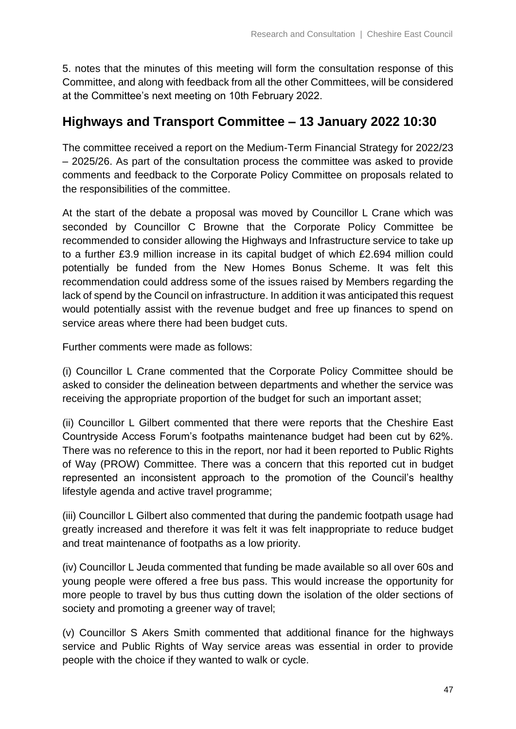5. notes that the minutes of this meeting will form the consultation response of this Committee, and along with feedback from all the other Committees, will be considered at the Committee's next meeting on 10th February 2022.

## **Highways and Transport Committee – 13 January 2022 10:30**

The committee received a report on the Medium-Term Financial Strategy for 2022/23 – 2025/26. As part of the consultation process the committee was asked to provide comments and feedback to the Corporate Policy Committee on proposals related to the responsibilities of the committee.

At the start of the debate a proposal was moved by Councillor L Crane which was seconded by Councillor C Browne that the Corporate Policy Committee be recommended to consider allowing the Highways and Infrastructure service to take up to a further £3.9 million increase in its capital budget of which £2.694 million could potentially be funded from the New Homes Bonus Scheme. It was felt this recommendation could address some of the issues raised by Members regarding the lack of spend by the Council on infrastructure. In addition it was anticipated this request would potentially assist with the revenue budget and free up finances to spend on service areas where there had been budget cuts.

Further comments were made as follows:

(i) Councillor L Crane commented that the Corporate Policy Committee should be asked to consider the delineation between departments and whether the service was receiving the appropriate proportion of the budget for such an important asset;

(ii) Councillor L Gilbert commented that there were reports that the Cheshire East Countryside Access Forum's footpaths maintenance budget had been cut by 62%. There was no reference to this in the report, nor had it been reported to Public Rights of Way (PROW) Committee. There was a concern that this reported cut in budget represented an inconsistent approach to the promotion of the Council's healthy lifestyle agenda and active travel programme;

(iii) Councillor L Gilbert also commented that during the pandemic footpath usage had greatly increased and therefore it was felt it was felt inappropriate to reduce budget and treat maintenance of footpaths as a low priority.

(iv) Councillor L Jeuda commented that funding be made available so all over 60s and young people were offered a free bus pass. This would increase the opportunity for more people to travel by bus thus cutting down the isolation of the older sections of society and promoting a greener way of travel;

(v) Councillor S Akers Smith commented that additional finance for the highways service and Public Rights of Way service areas was essential in order to provide people with the choice if they wanted to walk or cycle.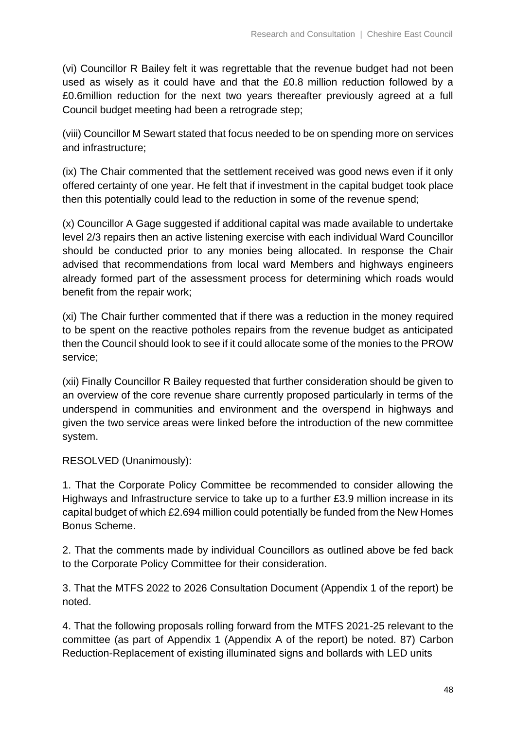(vi) Councillor R Bailey felt it was regrettable that the revenue budget had not been used as wisely as it could have and that the £0.8 million reduction followed by a £0.6million reduction for the next two years thereafter previously agreed at a full Council budget meeting had been a retrograde step;

(viii) Councillor M Sewart stated that focus needed to be on spending more on services and infrastructure;

(ix) The Chair commented that the settlement received was good news even if it only offered certainty of one year. He felt that if investment in the capital budget took place then this potentially could lead to the reduction in some of the revenue spend;

(x) Councillor A Gage suggested if additional capital was made available to undertake level 2/3 repairs then an active listening exercise with each individual Ward Councillor should be conducted prior to any monies being allocated. In response the Chair advised that recommendations from local ward Members and highways engineers already formed part of the assessment process for determining which roads would benefit from the repair work;

(xi) The Chair further commented that if there was a reduction in the money required to be spent on the reactive potholes repairs from the revenue budget as anticipated then the Council should look to see if it could allocate some of the monies to the PROW service;

(xii) Finally Councillor R Bailey requested that further consideration should be given to an overview of the core revenue share currently proposed particularly in terms of the underspend in communities and environment and the overspend in highways and given the two service areas were linked before the introduction of the new committee system.

RESOLVED (Unanimously):

1. That the Corporate Policy Committee be recommended to consider allowing the Highways and Infrastructure service to take up to a further £3.9 million increase in its capital budget of which £2.694 million could potentially be funded from the New Homes Bonus Scheme.

2. That the comments made by individual Councillors as outlined above be fed back to the Corporate Policy Committee for their consideration.

3. That the MTFS 2022 to 2026 Consultation Document (Appendix 1 of the report) be noted.

4. That the following proposals rolling forward from the MTFS 2021-25 relevant to the committee (as part of Appendix 1 (Appendix A of the report) be noted. 87) Carbon Reduction-Replacement of existing illuminated signs and bollards with LED units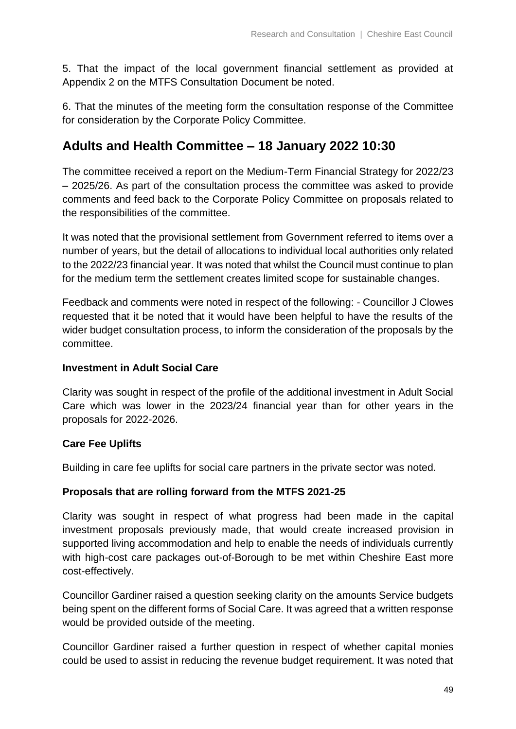5. That the impact of the local government financial settlement as provided at Appendix 2 on the MTFS Consultation Document be noted.

6. That the minutes of the meeting form the consultation response of the Committee for consideration by the Corporate Policy Committee.

## **Adults and Health Committee – 18 January 2022 10:30**

The committee received a report on the Medium-Term Financial Strategy for 2022/23 – 2025/26. As part of the consultation process the committee was asked to provide comments and feed back to the Corporate Policy Committee on proposals related to the responsibilities of the committee.

It was noted that the provisional settlement from Government referred to items over a number of years, but the detail of allocations to individual local authorities only related to the 2022/23 financial year. It was noted that whilst the Council must continue to plan for the medium term the settlement creates limited scope for sustainable changes.

Feedback and comments were noted in respect of the following: - Councillor J Clowes requested that it be noted that it would have been helpful to have the results of the wider budget consultation process, to inform the consideration of the proposals by the committee.

#### **Investment in Adult Social Care**

Clarity was sought in respect of the profile of the additional investment in Adult Social Care which was lower in the 2023/24 financial year than for other years in the proposals for 2022-2026.

### **Care Fee Uplifts**

Building in care fee uplifts for social care partners in the private sector was noted.

### **Proposals that are rolling forward from the MTFS 2021-25**

Clarity was sought in respect of what progress had been made in the capital investment proposals previously made, that would create increased provision in supported living accommodation and help to enable the needs of individuals currently with high-cost care packages out-of-Borough to be met within Cheshire East more cost-effectively.

Councillor Gardiner raised a question seeking clarity on the amounts Service budgets being spent on the different forms of Social Care. It was agreed that a written response would be provided outside of the meeting.

Councillor Gardiner raised a further question in respect of whether capital monies could be used to assist in reducing the revenue budget requirement. It was noted that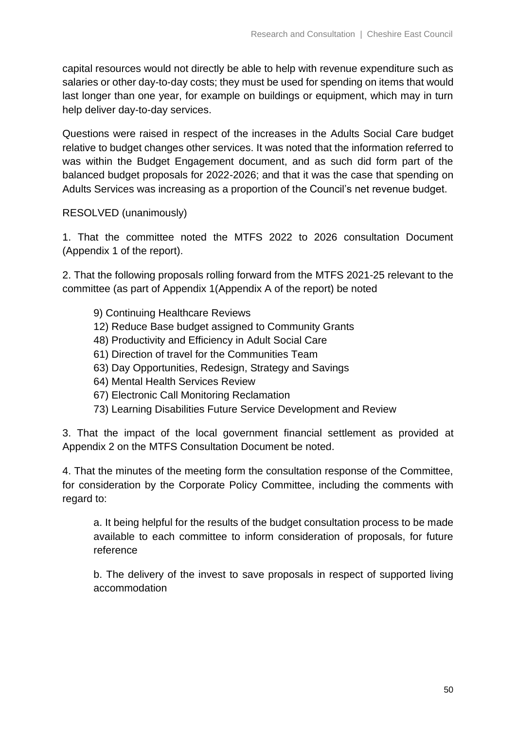capital resources would not directly be able to help with revenue expenditure such as salaries or other day-to-day costs; they must be used for spending on items that would last longer than one year, for example on buildings or equipment, which may in turn help deliver day-to-day services.

Questions were raised in respect of the increases in the Adults Social Care budget relative to budget changes other services. It was noted that the information referred to was within the Budget Engagement document, and as such did form part of the balanced budget proposals for 2022-2026; and that it was the case that spending on Adults Services was increasing as a proportion of the Council's net revenue budget.

RESOLVED (unanimously)

1. That the committee noted the MTFS 2022 to 2026 consultation Document (Appendix 1 of the report).

2. That the following proposals rolling forward from the MTFS 2021-25 relevant to the committee (as part of Appendix 1(Appendix A of the report) be noted

- 9) Continuing Healthcare Reviews
- 12) Reduce Base budget assigned to Community Grants
- 48) Productivity and Efficiency in Adult Social Care
- 61) Direction of travel for the Communities Team
- 63) Day Opportunities, Redesign, Strategy and Savings
- 64) Mental Health Services Review
- 67) Electronic Call Monitoring Reclamation
- 73) Learning Disabilities Future Service Development and Review

3. That the impact of the local government financial settlement as provided at Appendix 2 on the MTFS Consultation Document be noted.

4. That the minutes of the meeting form the consultation response of the Committee, for consideration by the Corporate Policy Committee, including the comments with regard to:

a. It being helpful for the results of the budget consultation process to be made available to each committee to inform consideration of proposals, for future reference

b. The delivery of the invest to save proposals in respect of supported living accommodation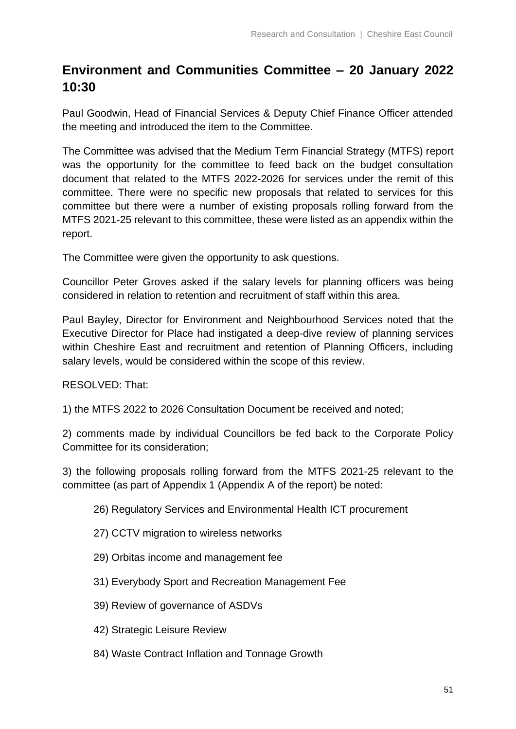## **Environment and Communities Committee – 20 January 2022 10:30**

Paul Goodwin, Head of Financial Services & Deputy Chief Finance Officer attended the meeting and introduced the item to the Committee.

The Committee was advised that the Medium Term Financial Strategy (MTFS) report was the opportunity for the committee to feed back on the budget consultation document that related to the MTFS 2022-2026 for services under the remit of this committee. There were no specific new proposals that related to services for this committee but there were a number of existing proposals rolling forward from the MTFS 2021-25 relevant to this committee, these were listed as an appendix within the report.

The Committee were given the opportunity to ask questions.

Councillor Peter Groves asked if the salary levels for planning officers was being considered in relation to retention and recruitment of staff within this area.

Paul Bayley, Director for Environment and Neighbourhood Services noted that the Executive Director for Place had instigated a deep-dive review of planning services within Cheshire East and recruitment and retention of Planning Officers, including salary levels, would be considered within the scope of this review.

RESOLVED: That:

1) the MTFS 2022 to 2026 Consultation Document be received and noted;

2) comments made by individual Councillors be fed back to the Corporate Policy Committee for its consideration;

3) the following proposals rolling forward from the MTFS 2021-25 relevant to the committee (as part of Appendix 1 (Appendix A of the report) be noted:

- 26) Regulatory Services and Environmental Health ICT procurement
- 27) CCTV migration to wireless networks
- 29) Orbitas income and management fee
- 31) Everybody Sport and Recreation Management Fee
- 39) Review of governance of ASDVs
- 42) Strategic Leisure Review
- 84) Waste Contract Inflation and Tonnage Growth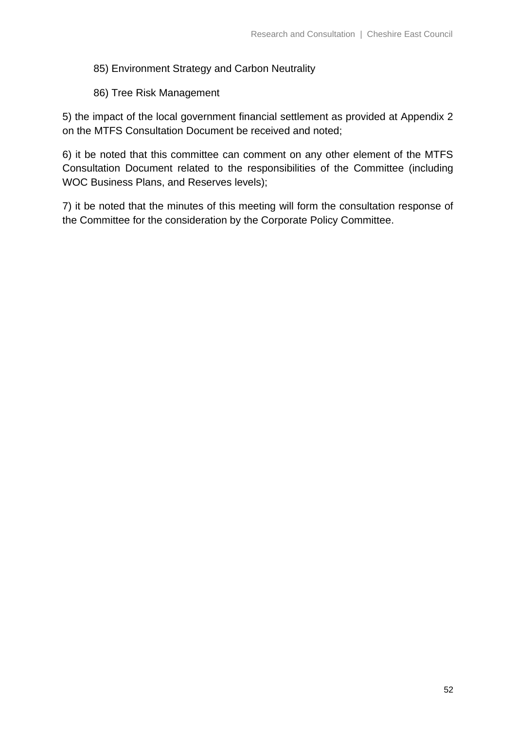#### 85) Environment Strategy and Carbon Neutrality

86) Tree Risk Management

5) the impact of the local government financial settlement as provided at Appendix 2 on the MTFS Consultation Document be received and noted;

6) it be noted that this committee can comment on any other element of the MTFS Consultation Document related to the responsibilities of the Committee (including WOC Business Plans, and Reserves levels);

7) it be noted that the minutes of this meeting will form the consultation response of the Committee for the consideration by the Corporate Policy Committee.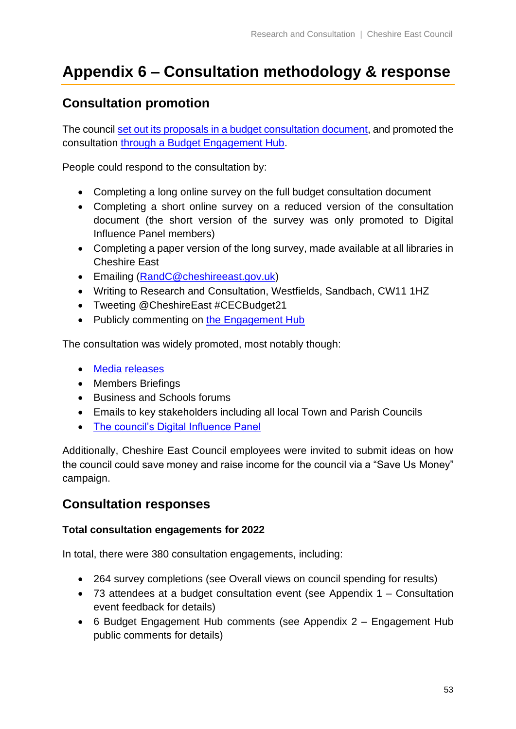## <span id="page-52-0"></span>**Appendix 6 – Consultation methodology & response**

## **Consultation promotion**

The council [set out its proposals in a budget consultation document,](https://www.cheshireeast.gov.uk/pdf/council-and-democracy/cec-budget-21-25/budget-engagement-2022-2026.pdf) and promoted the consultation through a [Budget Engagement Hub.](https://www.cheshireeast.gov.uk/council_and_democracy/council_information/consultations/budget-engagement.aspx)

People could respond to the consultation by:

- Completing a long online survey on the full budget consultation document
- Completing a short online survey on a reduced version of the consultation document (the short version of the survey was only promoted to Digital Influence Panel members)
- Completing a paper version of the long survey, made available at all libraries in Cheshire East
- Emailing [\(RandC@cheshireeast.gov.uk\)](mailto:RandC@cheshireeast.gov.uk)
- Writing to Research and Consultation, Westfields, Sandbach, CW11 1HZ
- Tweeting @CheshireEast #CECBudget21
- Publicly commenting on [the Engagement Hub](https://www.cheshireeast.gov.uk/council_and_democracy/council_information/consultations/budget-engagement.aspx)

The consultation was widely promoted, most notably though:

- [Media releases](https://www.cheshireeast.gov.uk/council_and_democracy/council_information/media_hub/media_releases/cheshire-east-council-to-consult-on-its-balanced-budget.aspx)
- Members Briefings
- Business and Schools forums
- Emails to key stakeholders including all local Town and Parish Councils
- [The council's Digital Influence Panel](https://www.cheshireeast.gov.uk/council_and_democracy/council_information/consultations/the_digital_influence_panel.aspx)

Additionally, Cheshire East Council employees were invited to submit ideas on how the council could save money and raise income for the council via a "Save Us Money" campaign.

### **Consultation responses**

#### **Total consultation engagements for 2022**

In total, there were 380 consultation engagements, including:

- 264 survey completions (see [Overall views on council spending](#page-8-0) for results)
- 73 attendees at a budget consultation event (see [Appendix 1 –](#page-27-0) Consultation event [feedback](#page-27-0) for details)
- 6 Budget Engagement Hub comments (see Appendix 2 [Engagement Hub](#page-32-0)  [public comments](#page-32-0) for details)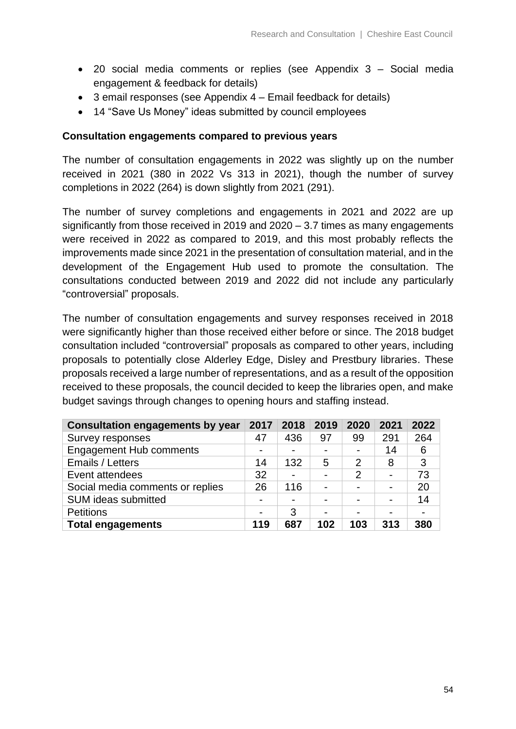- 20 social media comments or replies (see Appendix 3 [Social media](#page-34-0) [engagement & feedback](#page-34-0) for details)
- 3 email responses (see Appendix 4 [Email feedback](#page-38-0) for details)
- 14 "Save Us Money" ideas submitted by council employees

#### **Consultation engagements compared to previous years**

The number of consultation engagements in 2022 was slightly up on the number received in 2021 (380 in 2022 Vs 313 in 2021), though the number of survey completions in 2022 (264) is down slightly from 2021 (291).

The number of survey completions and engagements in 2021 and 2022 are up significantly from those received in 2019 and 2020 – 3.7 times as many engagements were received in 2022 as compared to 2019, and this most probably reflects the improvements made since 2021 in the presentation of consultation material, and in the development of the Engagement Hub used to promote the consultation. The consultations conducted between 2019 and 2022 did not include any particularly "controversial" proposals.

The number of consultation engagements and survey responses received in 2018 were significantly higher than those received either before or since. The 2018 budget consultation included "controversial" proposals as compared to other years, including proposals to potentially close Alderley Edge, Disley and Prestbury libraries. These proposals received a large number of representations, and as a result of the opposition received to these proposals, the council decided to keep the libraries open, and make budget savings through changes to opening hours and staffing instead.

| <b>Consultation engagements by year</b> | 2017 | 2018 | 2019 | 2020           | 2021 | 2022 |
|-----------------------------------------|------|------|------|----------------|------|------|
| Survey responses                        | 47   | 436  | 97   | 99             | 291  | 264  |
| <b>Engagement Hub comments</b>          |      |      |      |                | 14   | 6    |
| Emails / Letters                        | 14   | 132  | 5    | $\overline{2}$ | 8    | 3    |
| Event attendees                         | 32   |      |      | 2              |      | 73   |
| Social media comments or replies        | 26   | 116  |      | ۰              |      | 20   |
| <b>SUM ideas submitted</b>              |      |      |      | -              |      | 14   |
| <b>Petitions</b>                        |      | 3    |      |                |      |      |
| <b>Total engagements</b>                | 119  | 687  | 102  | 103            | 313  | 380  |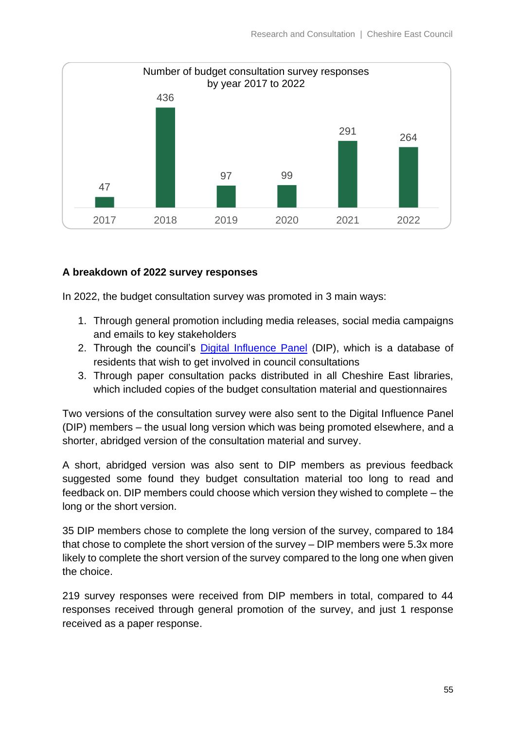

#### **A breakdown of 2022 survey responses**

In 2022, the budget consultation survey was promoted in 3 main ways:

- 1. Through general promotion including media releases, social media campaigns and emails to key stakeholders
- 2. Through the council's [Digital Influence Panel](https://www.cheshireeast.gov.uk/council_and_democracy/council_information/consultations/the_digital_influence_panel.aspx) (DIP), which is a database of residents that wish to get involved in council consultations
- 3. Through paper consultation packs distributed in all Cheshire East libraries, which included copies of the budget consultation material and questionnaires

Two versions of the consultation survey were also sent to the Digital Influence Panel (DIP) members – the usual long version which was being promoted elsewhere, and a shorter, abridged version of the consultation material and survey.

A short, abridged version was also sent to DIP members as previous feedback suggested some found they budget consultation material too long to read and feedback on. DIP members could choose which version they wished to complete – the long or the short version.

35 DIP members chose to complete the long version of the survey, compared to 184 that chose to complete the short version of the survey – DIP members were 5.3x more likely to complete the short version of the survey compared to the long one when given the choice.

219 survey responses were received from DIP members in total, compared to 44 responses received through general promotion of the survey, and just 1 response received as a paper response.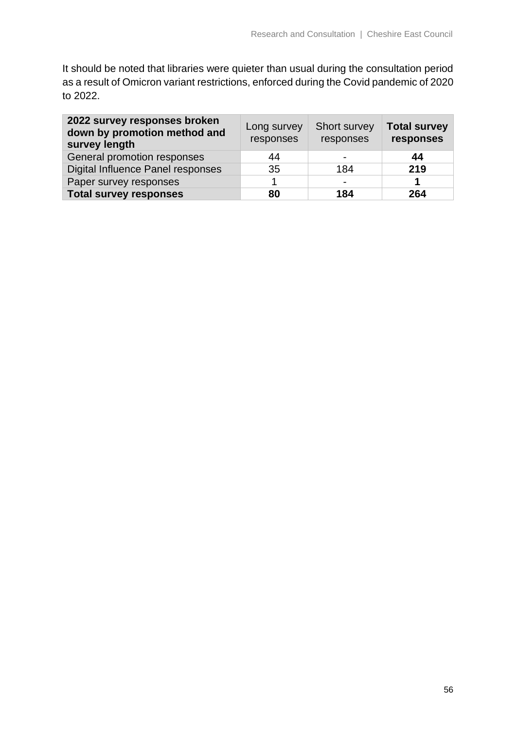It should be noted that libraries were quieter than usual during the consultation period as a result of Omicron variant restrictions, enforced during the Covid pandemic of 2020 to 2022.

| 2022 survey responses broken<br>down by promotion method and<br>survey length | Long survey<br>responses | Short survey<br>responses | <b>Total survey</b><br>responses |
|-------------------------------------------------------------------------------|--------------------------|---------------------------|----------------------------------|
| General promotion responses                                                   | 44                       |                           | 44                               |
| Digital Influence Panel responses                                             | 35                       | 184                       | 219                              |
| Paper survey responses                                                        |                          |                           |                                  |
| <b>Total survey responses</b>                                                 | 80                       | 184                       | 264                              |